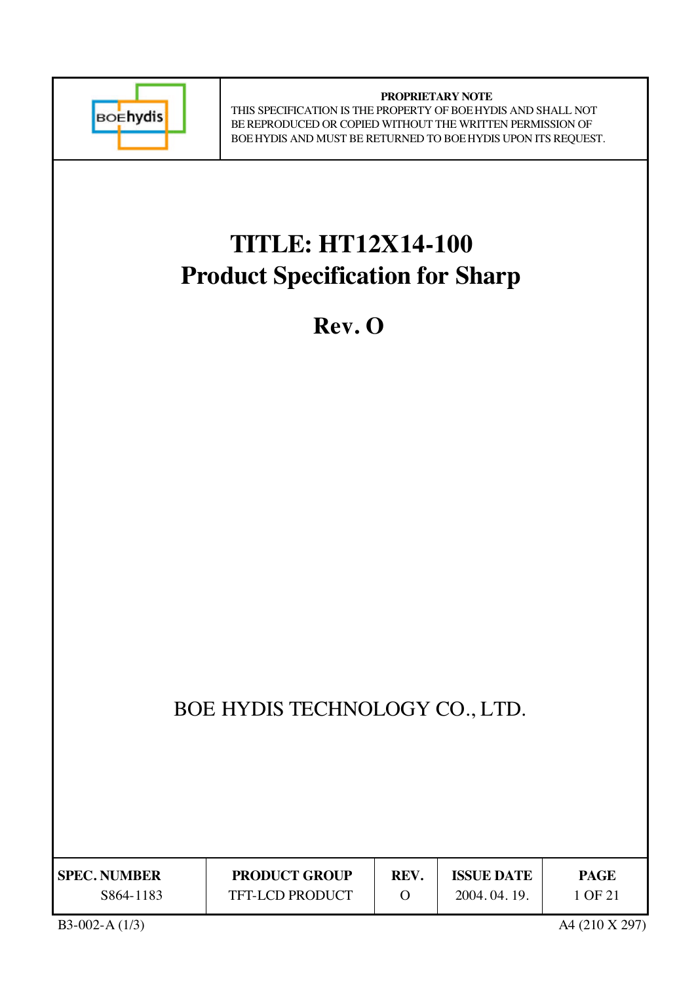

**PROPRIETARY NOTE** THIS SPECIFICATION IS THE PROPERTY OF BOEHYDIS AND SHALL NOT BE REPRODUCED OR COPIED WITHOUT THE WRITTEN PERMISSION OF BOEHYDIS AND MUST BE RETURNED TO BOEHYDIS UPON ITS REQUEST.

# **TITLE: HT12X14-100 Product Specification for Sharp**

**Rev. O**

## BOE HYDIS TECHNOLOGY CO., LTD.

| <b>SPEC. NUMBER</b> | <b>PRODUCT GROUP</b>   | REV. | <b>ISSUE DATE</b> | PAGE    |
|---------------------|------------------------|------|-------------------|---------|
| S864-1183           | <b>TFT-LCD PRODUCT</b> |      | 2004.04.19.       | 1 OF 21 |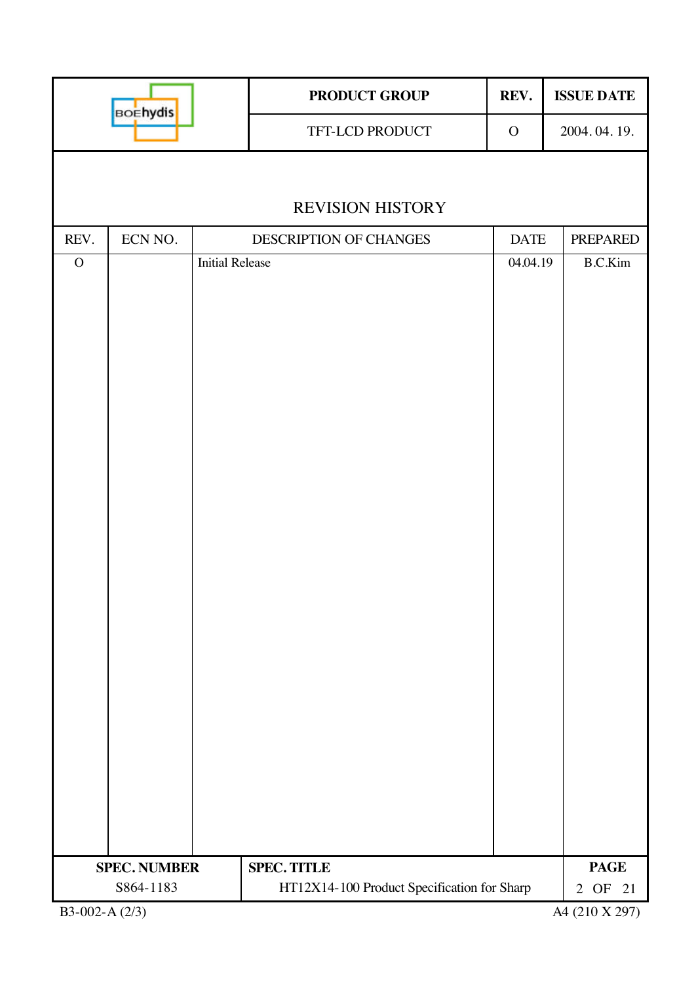| <b>BOEhydis</b> |                     |                        | PRODUCT GROUP                               | REV.        | <b>ISSUE DATE</b> |  |
|-----------------|---------------------|------------------------|---------------------------------------------|-------------|-------------------|--|
|                 |                     |                        | TFT-LCD PRODUCT                             | ${\bf O}$   | 2004.04.19.       |  |
|                 |                     |                        |                                             |             |                   |  |
|                 |                     |                        | <b>REVISION HISTORY</b>                     |             |                   |  |
| REV.            | ECN NO.             |                        | DESCRIPTION OF CHANGES                      | <b>DATE</b> | <b>PREPARED</b>   |  |
| $\mathcal O$    |                     | <b>Initial Release</b> |                                             | 04.04.19    | B.C.Kim           |  |
|                 |                     |                        |                                             |             |                   |  |
|                 | <b>SPEC. NUMBER</b> |                        | <b>SPEC. TITLE</b>                          |             | <b>PAGE</b>       |  |
|                 | S864-1183           |                        | HT12X14-100 Product Specification for Sharp |             | 2 OF 21           |  |
| B3-002-A (2/3)  |                     |                        |                                             |             | A4 (210 X 297)    |  |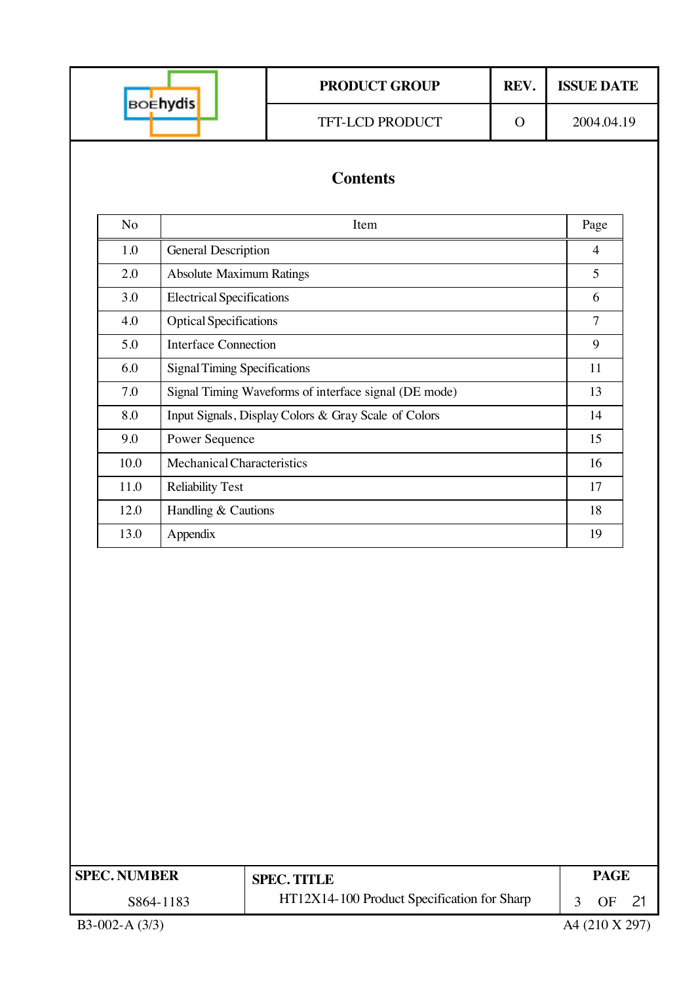|                     |                                     | <b>PRODUCT GROUP</b>                                  | REV.     | <b>ISSUE DATE</b>    |  |  |
|---------------------|-------------------------------------|-------------------------------------------------------|----------|----------------------|--|--|
|                     | <b>BOEhydis</b>                     | TFT-LCD PRODUCT                                       | $\Omega$ | 2004.04.19           |  |  |
|                     |                                     | <b>Contents</b>                                       |          |                      |  |  |
| No                  |                                     | Item                                                  |          | Page                 |  |  |
| 1.0                 | <b>General Description</b>          |                                                       |          | $\overline{4}$       |  |  |
| 2.0                 | <b>Absolute Maximum Ratings</b>     |                                                       |          | 5                    |  |  |
| 3.0                 | <b>Electrical Specifications</b>    |                                                       |          | 6                    |  |  |
| 4.0                 | <b>Optical Specifications</b>       |                                                       |          | $\overline{7}$       |  |  |
| 5.0                 | <b>Interface Connection</b>         |                                                       |          | 9                    |  |  |
| 6.0                 | <b>Signal Timing Specifications</b> |                                                       |          | 11                   |  |  |
| 7.0                 |                                     | Signal Timing Waveforms of interface signal (DE mode) |          | 13                   |  |  |
| 8.0                 |                                     | Input Signals, Display Colors & Gray Scale of Colors  |          | 14                   |  |  |
| 9.0                 | Power Sequence                      |                                                       |          | 15                   |  |  |
| 10.0                | Mechanical Characteristics          |                                                       |          |                      |  |  |
| 11.0                | <b>Reliability Test</b>             |                                                       |          | 17                   |  |  |
| 12.0                | Handling & Cautions                 |                                                       |          | 18                   |  |  |
| 13.0                | Appendix                            |                                                       |          | 19                   |  |  |
|                     |                                     |                                                       |          |                      |  |  |
| <b>SPEC. NUMBER</b> |                                     | <b>SPEC. TITLE</b>                                    |          | <b>PAGE</b>          |  |  |
|                     | S864-1183                           | HT12X14-100 Product Specification for Sharp           |          | <b>OF</b><br>3<br>21 |  |  |
| B3-002-A (3/3)      |                                     |                                                       |          | A4 (210 X 297)       |  |  |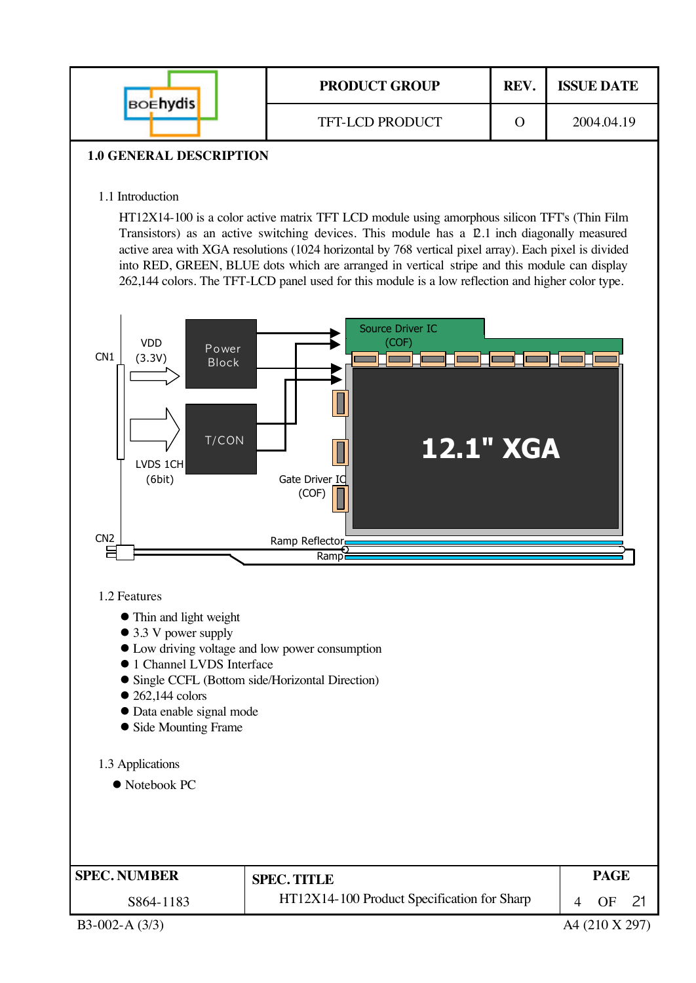| <b>BOENYdis</b>                | <b>PRODUCT GROUP</b>   | REV. | <b>ISSUE DATE</b> |
|--------------------------------|------------------------|------|-------------------|
|                                | <b>TFT-LCD PRODUCT</b> | ( )  | 2004.04.19        |
| <b>1.0 GENERAL DESCRIPTION</b> |                        |      |                   |

## 1.1 Introduction

HT12X14-100 is a color active matrix TFT LCD module using amorphous silicon TFT's (Thin Film Transistors) as an active switching devices. This module has a 12.1 inch diagonally measured active area with XGA resolutions (1024 horizontal by 768 vertical pixel array). Each pixel is divided into RED, GREEN, BLUE dots which are arranged in vertical stripe and this module can display 262,144 colors. The TFT-LCD panel used for this module is a low reflection and higher color type.



#### 1.2 Features

- Thin and light weight
- 3.3 V power supply
- Low driving voltage and low power consumption
- **1** Channel LVDS Interface
- **Single CCFL (Bottom side/Horizontal Direction)**
- $\bullet$  262,144 colors
- Data enable signal mode
- Side Mounting Frame

#### 1.3 Applications

 $\bullet$  Notebook PC

| <b>SPEC. NUMBER</b> | <b>SPEC. TITLE</b>                          | PAGE     |  |
|---------------------|---------------------------------------------|----------|--|
| S864-1183           | HT12X14-100 Product Specification for Sharp | $\Omega$ |  |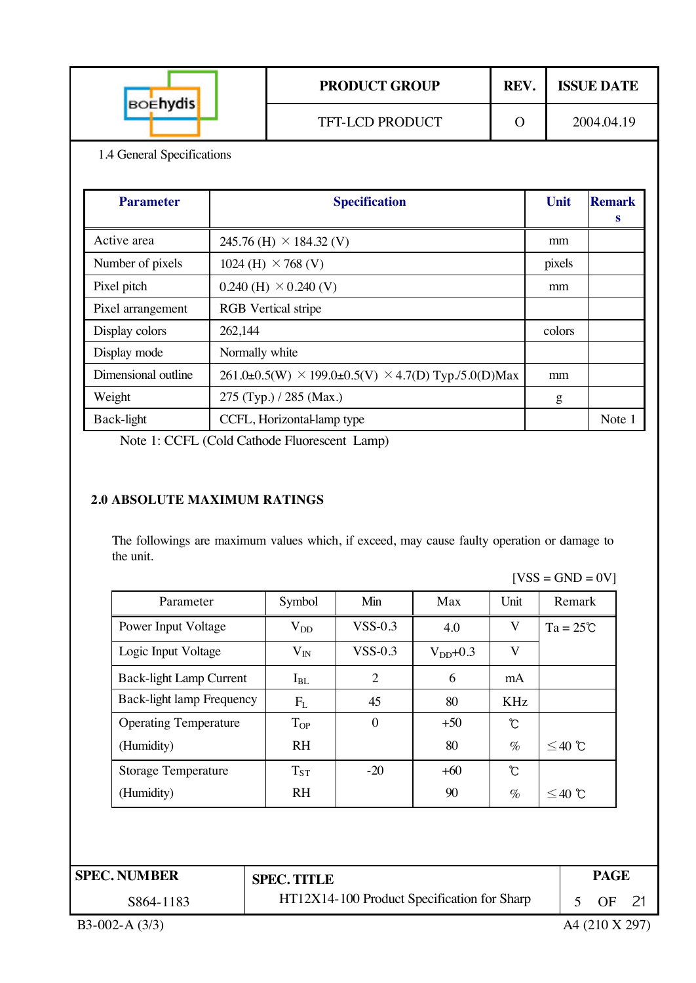| <b>BOENYdis</b> | <b>PRODUCT GROUP</b>   | REV. | <b>ISSUE DATE</b> |
|-----------------|------------------------|------|-------------------|
|                 | <b>TFT-LCD PRODUCT</b> |      | 2004.04.19        |

1.4 General Specifications

| <b>Parameter</b>    | <b>Specification</b>                                                | Unit   | <b>Remark</b><br>s |
|---------------------|---------------------------------------------------------------------|--------|--------------------|
| Active area         | 245.76 (H) $\times$ 184.32 (V)                                      | mm     |                    |
| Number of pixels    | 1024 (H) $\times$ 768 (V)                                           | pixels |                    |
| Pixel pitch         | $0.240$ (H) $\times$ 0.240 (V)                                      | mm     |                    |
| Pixel arrangement   | <b>RGB</b> Vertical stripe                                          |        |                    |
| Display colors      | 262,144                                                             | colors |                    |
| Display mode        | Normally white                                                      |        |                    |
| Dimensional outline | $261.0\pm0.5(W) \times 199.0\pm0.5(V) \times 4.7(D)$ Typ./5.0(D)Max | mm     |                    |
| Weight              | 275 (Typ.) / 285 (Max.)                                             | g      |                    |
| Back-light          | CCFL, Horizontal-lamp type                                          |        | Note 1             |

Note 1: CCFL (Cold Cathode Fluorescent Lamp)

### **2.0 ABSOLUTE MAXIMUM RATINGS**

The followings are maximum values which, if exceed, may cause faulty operation or damage to the unit.

 $[VSS = GND = 0V]$ 

| Parameter                    | Symbol       | Min            | Max           | Unit | Remark             |
|------------------------------|--------------|----------------|---------------|------|--------------------|
| Power Input Voltage          | $\rm V_{DD}$ | $VSS-0.3$      | 4.0           | V    | $Ta = 25^{\circ}C$ |
| Logic Input Voltage          | $V_{IN}$     | $VSS-0.3$      | $V_{DD}$ +0.3 | V    |                    |
| Back-light Lamp Current      | $I_{BL}$     | 2              | 6             | mA   |                    |
| Back-light lamp Frequency    | $F_{L}$      | 45             | 80            | KHz  |                    |
| <b>Operating Temperature</b> | $T_{OP}$     | $\overline{0}$ | $+50$         | Ĉ    |                    |
| (Humidity)                   | <b>RH</b>    |                | 80            | $\%$ | $≤40$ ℃            |
| <b>Storage Temperature</b>   | $T_{ST}$     | $-20$          | $+60$         | °C   |                    |
| (Humidity)                   | <b>RH</b>    |                | 90            | $\%$ | $≤40$ ℃            |

| <b>SPEC. NUMBER</b> | <b>SPEC. TITLE</b>                          | <b>PAGE</b> |  |
|---------------------|---------------------------------------------|-------------|--|
| S864-1183           | HT12X14-100 Product Specification for Sharp | OF          |  |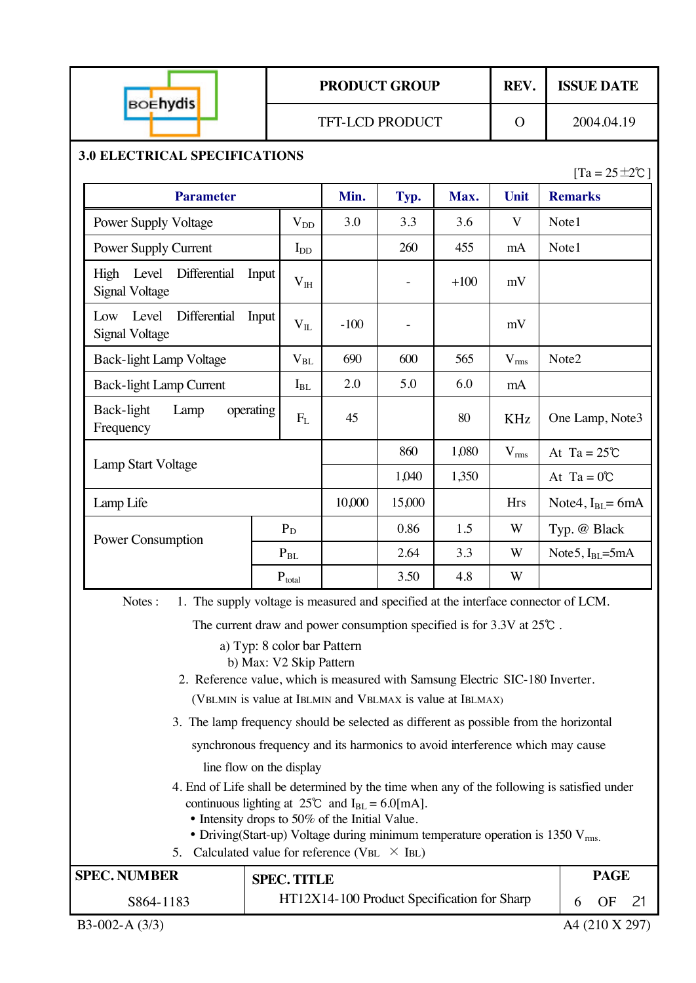|                                                                                                                                                                                                                                                 |                                                                                                                                         | <b>PRODUCT GROUP</b><br><b>TFT-LCD PRODUCT</b> |                          |        | REV.         | <b>ISSUE DATE</b>          |
|-------------------------------------------------------------------------------------------------------------------------------------------------------------------------------------------------------------------------------------------------|-----------------------------------------------------------------------------------------------------------------------------------------|------------------------------------------------|--------------------------|--------|--------------|----------------------------|
| <b>BOEhydis</b>                                                                                                                                                                                                                                 |                                                                                                                                         |                                                |                          |        | $\mathbf{O}$ | 2004.04.19                 |
| <b>3.0 ELECTRICAL SPECIFICATIONS</b>                                                                                                                                                                                                            |                                                                                                                                         |                                                |                          |        |              | $[Ta = 25 \pm 2\degree C]$ |
| <b>Parameter</b>                                                                                                                                                                                                                                |                                                                                                                                         | Min.                                           | Typ.                     | Max.   | Unit         | <b>Remarks</b>             |
| <b>Power Supply Voltage</b>                                                                                                                                                                                                                     | $V_{DD}$                                                                                                                                | 3.0                                            | 3.3                      | 3.6    | V            | Note1                      |
| <b>Power Supply Current</b>                                                                                                                                                                                                                     | $I_{DD}$                                                                                                                                |                                                | 260                      | 455    | mA           | Note1                      |
| High Level<br>Differential<br>Input<br><b>Signal Voltage</b>                                                                                                                                                                                    | $V_{IH}$                                                                                                                                |                                                | $\overline{\phantom{a}}$ | $+100$ | mV           |                            |
| Level<br>Differential<br>Input<br>Low<br><b>Signal Voltage</b>                                                                                                                                                                                  | $V_{IL}$                                                                                                                                | $-100$                                         | $\overline{\phantom{0}}$ |        | mV           |                            |
| <b>Back-light Lamp Voltage</b>                                                                                                                                                                                                                  | $\rm V_{BL}$                                                                                                                            | 690                                            | 600                      | 565    | $V_{rms}$    | Note2                      |
| <b>Back-light Lamp Current</b>                                                                                                                                                                                                                  | $I_{BL}$                                                                                                                                | 2.0                                            | 5.0                      | 6.0    | mA           |                            |
| Back-light<br>Lamp<br>operating<br>Frequency                                                                                                                                                                                                    | $F_{L}$                                                                                                                                 | 45                                             |                          | 80     | <b>KHz</b>   | One Lamp, Note3            |
|                                                                                                                                                                                                                                                 |                                                                                                                                         |                                                | 860                      | 1,080  | $V_{rms}$    | At Ta = $25^{\circ}$ C     |
| <b>Lamp Start Voltage</b>                                                                                                                                                                                                                       |                                                                                                                                         |                                                | 1,040                    | 1,350  |              | At Ta = $0^{\circ}$ C      |
| Lamp Life                                                                                                                                                                                                                                       |                                                                                                                                         | 10,000                                         | 15,000                   |        | <b>Hrs</b>   | Note4, $I_{BL}$ = 6mA      |
| Power Consumption                                                                                                                                                                                                                               | $P_D$                                                                                                                                   |                                                | 0.86                     | 1.5    | W            | Typ. @ Black               |
|                                                                                                                                                                                                                                                 | $\mathbf{P}_{\mathrm{BL}}$                                                                                                              |                                                | 2.64                     | 3.3    | W            | Note 5, $IBL=5mA$          |
|                                                                                                                                                                                                                                                 | $\mathbf{P}_{total}$                                                                                                                    |                                                | 3.50                     | 4.8    |              |                            |
| 1. The supply voltage is measured and specified at the interface connector of LCM.<br>Notes:                                                                                                                                                    |                                                                                                                                         |                                                |                          |        |              |                            |
| The current draw and power consumption specified is for $3.3V$ at $25^{\circ}$ .                                                                                                                                                                |                                                                                                                                         |                                                |                          |        |              |                            |
|                                                                                                                                                                                                                                                 | a) Typ: 8 color bar Pattern<br>b) Max: V2 Skip Pattern<br>2. Reference value, which is measured with Samsung Electric SIC-180 Inverter. |                                                |                          |        |              |                            |
| (VBLMIN is value at IBLMIN and VBLMAX is value at IBLMAX)                                                                                                                                                                                       |                                                                                                                                         |                                                |                          |        |              |                            |
| 3. The lamp frequency should be selected as different as possible from the horizontal                                                                                                                                                           |                                                                                                                                         |                                                |                          |        |              |                            |
| synchronous frequency and its harmonics to avoid interference which may cause                                                                                                                                                                   |                                                                                                                                         |                                                |                          |        |              |                            |
| line flow on the display<br>4. End of Life shall be determined by the time when any of the following is satisfied under<br>continuous lighting at $25^{\circ}$ and I <sub>BL</sub> = 6.0[mA].<br>• Intensity drops to 50% of the Initial Value. |                                                                                                                                         |                                                |                          |        |              |                            |
| • Driving(Start-up) Voltage during minimum temperature operation is 1350 $V_{rms}$ .<br>5. Calculated value for reference (VBL $\times$ IBL)                                                                                                    |                                                                                                                                         |                                                |                          |        |              |                            |

| <b>SPEC. NUMBER</b> | <b>SPEC. TITLE</b>                          | <b>PAGE</b>    |
|---------------------|---------------------------------------------|----------------|
| S864-1183           | HT12X14-100 Product Specification for Sharp | $\Omega$ F     |
| $B3-002-A(3/3)$     |                                             | A4 (210 X 297) |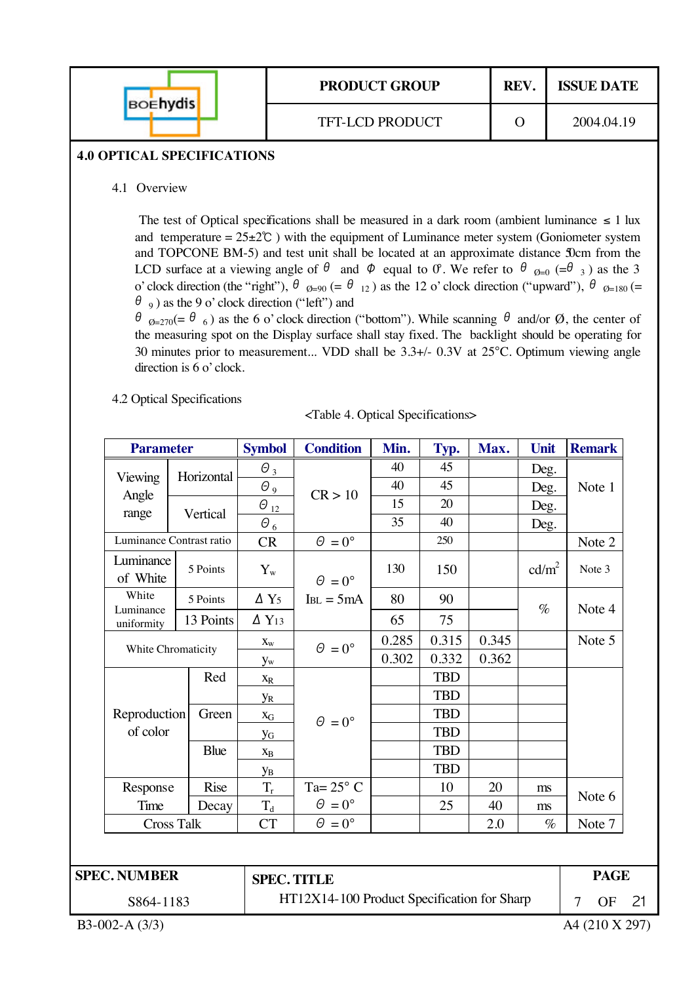| <b>BOENYdis</b> | <b>PRODUCT GROUP</b>   | REV. | <b>ISSUE DATE</b> |  |
|-----------------|------------------------|------|-------------------|--|
|                 | <b>TFT-LCD PRODUCT</b> |      | 2004.04.19        |  |

#### **4.0 OPTICAL SPECIFICATIONS**

4.1 Overview

The test of Optical specifications shall be measured in a dark room (ambient luminance  $\leq 1$  lux and temperature =  $25\pm2^{\circ}$  ) with the equipment of Luminance meter system (Goniometer system and TOPCONE BM-5) and test unit shall be located at an approximate distance 50cm from the LCD surface at a viewing angle of  $\theta$  and  $\phi$  equal to  $\theta$ . We refer to  $\theta$   $_{\phi=0}$  (= $\theta$  3) as the 3 o' clock direction (the "right"),  $\theta_{Q=90} (= \theta_{12})$  as the 12 o' clock direction ("upward"),  $\theta_{Q=180} (=$  $\theta$ <sub>9</sub>) as the 9 o' clock direction ("left") and

 $\theta_{Q=270}$ (=  $\theta_{6}$ ) as the 6 o' clock direction ("bottom"). While scanning  $\theta$  and/or  $\emptyset$ , the center of the measuring spot on the Display surface shall stay fixed. The backlight should be operating for 30 minutes prior to measurement... VDD shall be 3.3+/- 0.3V at 25°C. Optimum viewing angle direction is 6 o' clock.

4.2 Optical Specifications

| <table 4.="" optical="" specifications=""></table> |
|----------------------------------------------------|
|----------------------------------------------------|

| <b>Parameter</b>         |             | <b>Symbol</b>            | <b>Condition</b>                            | Min.  | Typ.       | Max.  | Unit              |                                                                                                                                   |
|--------------------------|-------------|--------------------------|---------------------------------------------|-------|------------|-------|-------------------|-----------------------------------------------------------------------------------------------------------------------------------|
|                          | Horizontal  | $\theta_3$               |                                             | 40    | 45         |       | Deg.              |                                                                                                                                   |
| Viewing                  |             | $\Theta$ 9               | CR > 10                                     | 40    | 45         |       | Deg.              | <b>Remark</b><br>Note 1<br>Note 2<br>Note 3<br>Note 4<br>Note 5<br>Note 6<br>Note 7<br><b>PAGE</b><br>$\overline{7}$<br><b>OF</b> |
| Angle<br>range           |             | $\theta_{12}$            |                                             | 15    | 20         |       | Deg.              |                                                                                                                                   |
|                          | Vertical    | $\theta_{6}$             |                                             | 35    | 40         |       | Deg.              |                                                                                                                                   |
| Luminance Contrast ratio |             | <b>CR</b>                | $\Theta = 0^{\circ}$                        |       | 250        |       |                   |                                                                                                                                   |
| Luminance<br>of White    | 5 Points    | $Y_{w}$                  | $\Theta = 0^{\circ}$                        | 130   | 150        |       | cd/m <sup>2</sup> |                                                                                                                                   |
| White                    | 5 Points    | $\Delta$ Y <sub>5</sub>  | $I_{BL} = 5mA$                              | 80    | 90         |       |                   |                                                                                                                                   |
| Luminance<br>uniformity  | 13 Points   | $\Delta$ Y <sub>13</sub> |                                             | 65    | 75         |       | $\%$              |                                                                                                                                   |
| White Chromaticity       |             | $\mathbf{X}_\mathrm{W}$  | $\theta = 0^{\circ}$                        | 0.285 | 0.315      | 0.345 |                   |                                                                                                                                   |
|                          |             | $y_{w}$                  |                                             | 0.302 | 0.332      | 0.362 |                   |                                                                                                                                   |
|                          | Red         | $X_R$                    |                                             |       | <b>TBD</b> |       |                   |                                                                                                                                   |
|                          |             | УR                       |                                             |       | <b>TBD</b> |       |                   |                                                                                                                                   |
| Reproduction             | Green       | $X_G$                    | $\theta = 0^{\circ}$                        |       | <b>TBD</b> |       |                   |                                                                                                                                   |
| of color                 |             | <b>y</b> <sub>G</sub>    |                                             |       | <b>TBD</b> |       |                   |                                                                                                                                   |
|                          | <b>Blue</b> | $\mathbf{X}_{\text{B}}$  |                                             |       | <b>TBD</b> |       |                   |                                                                                                                                   |
|                          |             | Ув                       |                                             |       | <b>TBD</b> |       |                   |                                                                                                                                   |
| Response                 | <b>Rise</b> | $T_r$                    | Ta= $25^{\circ}$ C                          |       | 10         | 20    | ms                |                                                                                                                                   |
| Time                     | Decay       | $T_d$                    | $\theta = 0^{\circ}$                        |       | 25         | 40    | ms                |                                                                                                                                   |
| <b>Cross Talk</b>        |             | CT                       | $\theta = 0^{\circ}$                        |       |            | 2.0   | $\%$              |                                                                                                                                   |
|                          |             |                          |                                             |       |            |       |                   |                                                                                                                                   |
| <b>SPEC. NUMBER</b>      |             | <b>SPEC. TITLE</b>       |                                             |       |            |       |                   |                                                                                                                                   |
| S864-1183                |             |                          | HT12X14-100 Product Specification for Sharp |       |            |       |                   |                                                                                                                                   |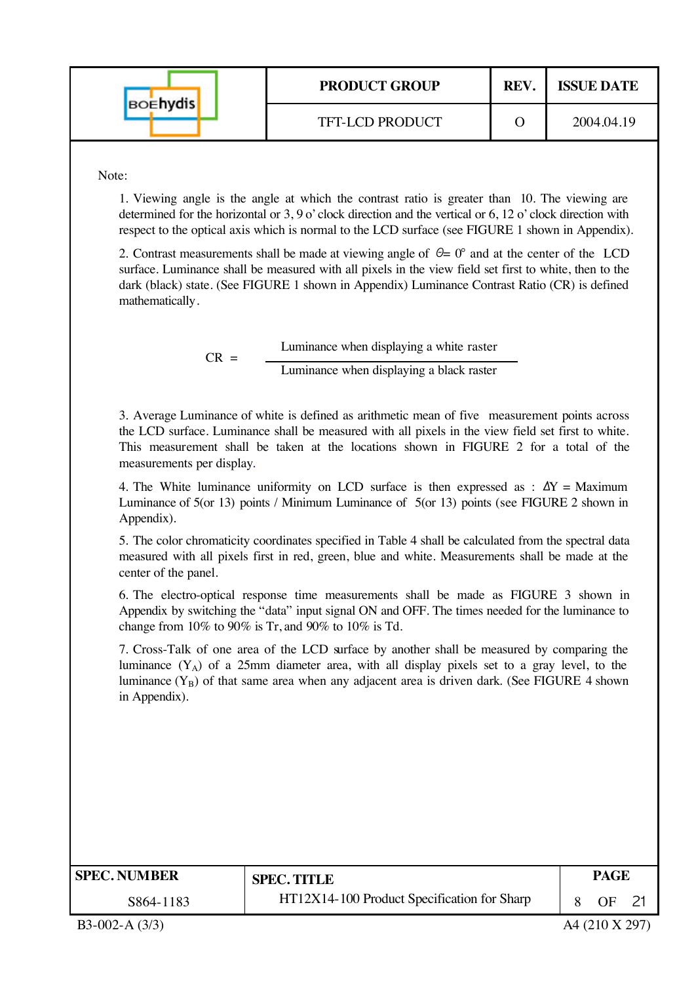| <b>BOEhydis</b> | <b>PRODUCT GROUP</b>   | REV. | <b>ISSUE DATE</b> |
|-----------------|------------------------|------|-------------------|
|                 | <b>TFT-LCD PRODUCT</b> |      | 2004.04.19        |

Note:

1. Viewing angle is the angle at which the contrast ratio is greater than 10. The viewing are determined for the horizontal or 3, 9 o' clock direction and the vertical or 6, 12 o' clock direction with respect to the optical axis which is normal to the LCD surface (see FIGURE 1 shown in Appendix).

2. Contrast measurements shall be made at viewing angle of  $\theta = 0^{\circ}$  and at the center of the LCD surface. Luminance shall be measured with all pixels in the view field set first to white, then to the dark (black) state. (See FIGURE 1 shown in Appendix) Luminance Contrast Ratio (CR) is defined mathematically.

> Luminance when displaying a white raster  $CR =$  Luminance when displaying a black raster

3. Average Luminance of white is defined as arithmetic mean of five measurement points across the LCD surface. Luminance shall be measured with all pixels in the view field set first to white. This measurement shall be taken at the locations shown in FIGURE 2 for a total of the measurements per display.

4. The White luminance uniformity on LCD surface is then expressed as :  $\Delta Y =$  Maximum Luminance of 5(or 13) points / Minimum Luminance of 5(or 13) points (see FIGURE 2 shown in Appendix).

5. The color chromaticity coordinates specified in Table 4 shall be calculated from the spectral data measured with all pixels first in red, green, blue and white. Measurements shall be made at the center of the panel.

6. The electro-optical response time measurements shall be made as FIGURE 3 shown in Appendix by switching the "data" input signal ON and OFF. The times needed for the luminance to change from  $10\%$  to  $90\%$  is Tr, and  $90\%$  to  $10\%$  is Td.

7. Cross-Talk of one area of the LCD surface by another shall be measured by comparing the luminance  $(Y_A)$  of a 25mm diameter area, with all display pixels set to a gray level, to the luminance  $(Y_B)$  of that same area when any adjacent area is driven dark. (See FIGURE 4 shown in Appendix).

| <b>SPEC. NUMBER</b> | <b>SPEC. TITLE</b>                          | <b>PAGE</b> |  |
|---------------------|---------------------------------------------|-------------|--|
| S864-1183           | HT12X14-100 Product Specification for Sharp | ΩE          |  |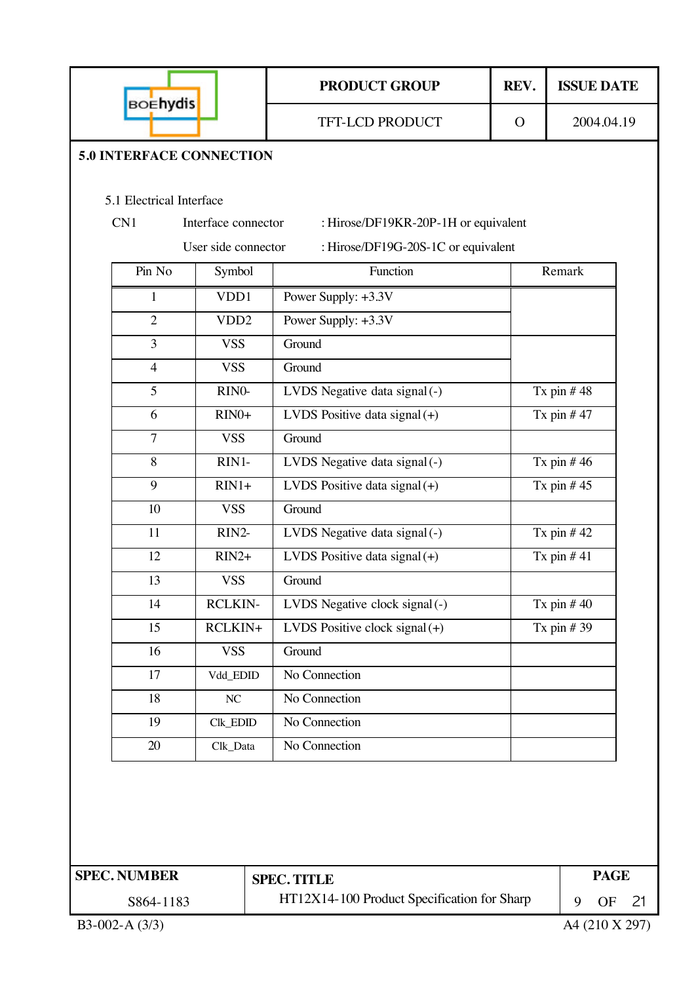| <b>BOEhydis</b>                                                     |                                        |  | <b>PRODUCT GROUP</b>                 | REV.          | <b>ISSUE DATE</b> |
|---------------------------------------------------------------------|----------------------------------------|--|--------------------------------------|---------------|-------------------|
|                                                                     |                                        |  | <b>TFT-LCD PRODUCT</b>               | $\mathcal{O}$ | 2004.04.19        |
| <b>5.0 INTERFACE CONNECTION</b>                                     |                                        |  |                                      |               |                   |
|                                                                     |                                        |  |                                      |               |                   |
| 5.1 Electrical Interface                                            |                                        |  |                                      |               |                   |
| CN1                                                                 | Interface connector                    |  | : Hirose/DF19KR-20P-1H or equivalent |               |                   |
|                                                                     | User side connector                    |  | : Hirose/DF19G-20S-1C or equivalent  |               |                   |
| Pin No                                                              | Symbol                                 |  | Function                             |               | Remark            |
| $\mathbf{1}$                                                        | VDD1                                   |  | Power Supply: +3.3V                  |               |                   |
| $\overline{2}$                                                      | VDD <sub>2</sub>                       |  | Power Supply: +3.3V                  |               |                   |
| 3                                                                   | <b>VSS</b>                             |  | Ground                               |               |                   |
| $\overline{4}$                                                      | <b>VSS</b>                             |  | Ground                               |               |                   |
| 5                                                                   | RINO-                                  |  | LVDS Negative data signal (-)        |               | Tx pin $#48$      |
| 6                                                                   | $RIN0+$                                |  | LVDS Positive data signal $(+)$      |               | Tx pin $#47$      |
| $\overline{7}$                                                      | <b>VSS</b><br>Ground                   |  |                                      |               |                   |
| 8                                                                   | RIN1-<br>LVDS Negative data signal (-) |  |                                      |               | Tx pin $#46$      |
| 9                                                                   | $RIN1+$                                |  | LVDS Positive data signal $(+)$      | Tx pin $#45$  |                   |
| 10                                                                  | <b>VSS</b>                             |  | Ground                               |               |                   |
| 11                                                                  | RIN2-                                  |  | LVDS Negative data signal (-)        |               | Tx pin $#42$      |
| 12                                                                  | $RIN2+$                                |  | LVDS Positive data signal $(+)$      |               | Tx pin $#41$      |
| 13                                                                  | <b>VSS</b>                             |  | Ground                               |               |                   |
| 14                                                                  | <b>RCLKIN-</b>                         |  | LVDS Negative clock signal (-)       |               | Tx pin $#40$      |
| 15                                                                  | RCLKIN+                                |  | LVDS Positive clock signal $(+)$     |               | Tx pin $#39$      |
| 16                                                                  | <b>VSS</b>                             |  | Ground                               |               |                   |
| 17                                                                  | Vdd_EDID                               |  | No Connection                        |               |                   |
| 18                                                                  | $\rm NC$                               |  | No Connection                        |               |                   |
| 19                                                                  | Clk_EDID                               |  | No Connection                        |               |                   |
| 20                                                                  | Clk_Data                               |  | No Connection                        |               |                   |
|                                                                     |                                        |  |                                      |               |                   |
|                                                                     |                                        |  |                                      |               |                   |
|                                                                     |                                        |  |                                      |               |                   |
|                                                                     |                                        |  |                                      |               |                   |
| <b>SPEC. NUMBER</b>                                                 |                                        |  |                                      |               | <b>PAGE</b>       |
| <b>SPEC. TITLE</b>                                                  |                                        |  |                                      |               |                   |
| HT12X14-100 Product Specification for Sharp<br>9<br>S864-1183<br>OF |                                        |  |                                      |               | 21                |
| B3-002-A $(3/3)$                                                    |                                        |  |                                      |               | A4 (210 X 297)    |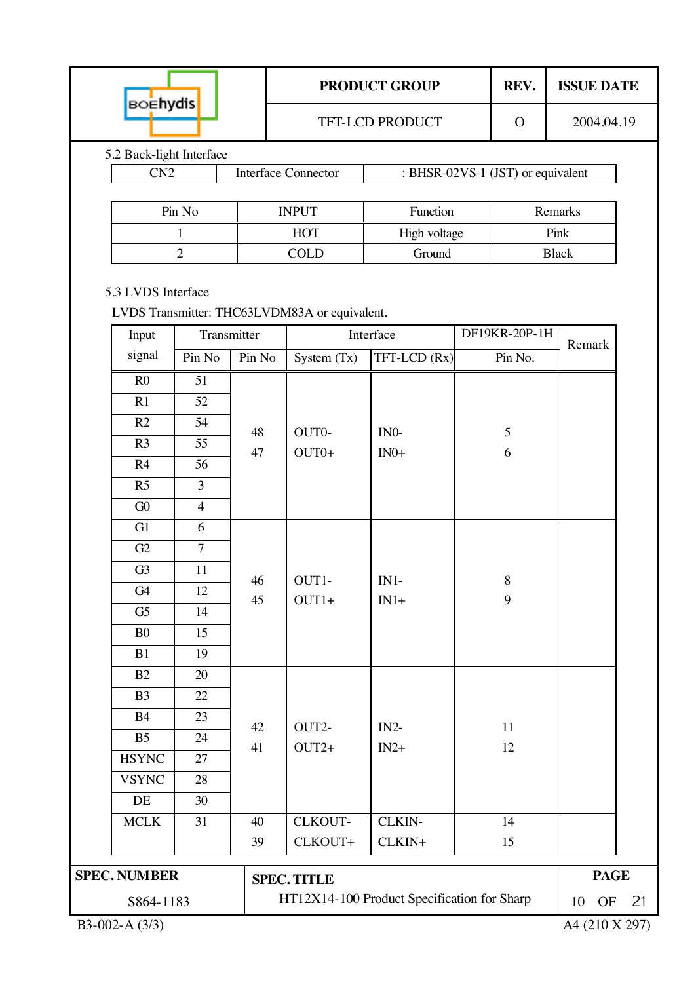|                                                                              |             |                                             | <b>PRODUCT GROUP</b>                                  |  | REV.          | <b>ISSUE DATE</b> |    |  |  |
|------------------------------------------------------------------------------|-------------|---------------------------------------------|-------------------------------------------------------|--|---------------|-------------------|----|--|--|
| <b>BOEhydis</b>                                                              |             |                                             | TFT-LCD PRODUCT                                       |  | $\Omega$      | 2004.04.19        |    |  |  |
| 5.2 Back-light Interface                                                     |             |                                             |                                                       |  |               |                   |    |  |  |
| CN2                                                                          |             | <b>Interface Connector</b>                  | : BHSR-02VS-1 $(\overline{\text{JST}})$ or equivalent |  |               |                   |    |  |  |
|                                                                              |             |                                             |                                                       |  |               |                   |    |  |  |
| Pin No                                                                       |             | <b>INPUT</b>                                | Function                                              |  |               | Remarks           |    |  |  |
| $\mathbf{1}$                                                                 |             | <b>HOT</b>                                  | High voltage                                          |  |               | Pink              |    |  |  |
| $\overline{2}$                                                               |             | <b>COLD</b>                                 | Ground                                                |  |               | <b>Black</b>      |    |  |  |
| 5.3 LVDS Interface<br>LVDS Transmitter: THC63LVDM83A or equivalent.<br>Input | Transmitter |                                             | Interface                                             |  | DF19KR-20P-1H |                   |    |  |  |
| signal<br>Pin No                                                             | Pin No      | System $(Tx)$                               | TFT-LCD (Rx)                                          |  | Pin No.       | Remark            |    |  |  |
| R <sub>0</sub><br>51                                                         |             |                                             |                                                       |  |               |                   |    |  |  |
| R1<br>52                                                                     |             |                                             |                                                       |  |               |                   |    |  |  |
| R2<br>54                                                                     |             |                                             |                                                       |  |               |                   |    |  |  |
| R <sub>3</sub><br>55                                                         | 48          | OUT0-                                       | IN <sub>0</sub> -                                     |  | $\mathfrak s$ |                   |    |  |  |
| R4<br>56                                                                     | 47          | $OUT0+$                                     | $IN0+$                                                |  | 6             |                   |    |  |  |
| $\overline{3}$<br>R <sub>5</sub>                                             |             |                                             |                                                       |  |               |                   |    |  |  |
| G0<br>$\overline{4}$                                                         |             |                                             |                                                       |  |               |                   |    |  |  |
| G1<br>6                                                                      |             |                                             |                                                       |  |               |                   |    |  |  |
| G2<br>$\overline{7}$                                                         |             |                                             |                                                       |  |               |                   |    |  |  |
| G <sub>3</sub><br>11                                                         |             |                                             |                                                       |  | 8             |                   |    |  |  |
| G <sub>4</sub><br>12                                                         | 46<br>45    | OUT1-<br>$OUT1+$                            | $IN1-$<br>$IN1+$                                      |  | 9             |                   |    |  |  |
| G <sub>5</sub><br>14                                                         |             |                                             |                                                       |  |               |                   |    |  |  |
| 15<br>B <sub>0</sub>                                                         |             |                                             |                                                       |  |               |                   |    |  |  |
| 19<br>B1                                                                     |             |                                             |                                                       |  |               |                   |    |  |  |
| B2<br>20                                                                     |             |                                             |                                                       |  |               |                   |    |  |  |
| 22<br>B <sub>3</sub>                                                         |             |                                             |                                                       |  |               |                   |    |  |  |
| <b>B4</b><br>23                                                              | 42          | OUT2-                                       | $IN2-$                                                |  | 11            |                   |    |  |  |
| B <sub>5</sub><br>24                                                         | 41          | $OUT2+$                                     | $IN2+$                                                |  | 12            |                   |    |  |  |
| <b>HSYNC</b><br>27                                                           |             |                                             |                                                       |  |               |                   |    |  |  |
| <b>VSYNC</b><br>28                                                           |             |                                             |                                                       |  |               |                   |    |  |  |
| DE<br>30                                                                     |             |                                             |                                                       |  |               |                   |    |  |  |
| <b>MCLK</b><br>31                                                            | 40          | CLKOUT-                                     | CLKIN-                                                |  | 14            |                   |    |  |  |
|                                                                              | 39          | CLKOUT+                                     | CLKIN+                                                |  | 15            |                   |    |  |  |
| <b>SPEC. NUMBER</b>                                                          |             | <b>SPEC. TITLE</b>                          |                                                       |  |               | <b>PAGE</b>       |    |  |  |
| S864-1183                                                                    |             | HT12X14-100 Product Specification for Sharp |                                                       |  |               | 10<br><b>OF</b>   | 21 |  |  |
| B3-002-A (3/3)                                                               |             |                                             |                                                       |  |               | A4 (210 X 297)    |    |  |  |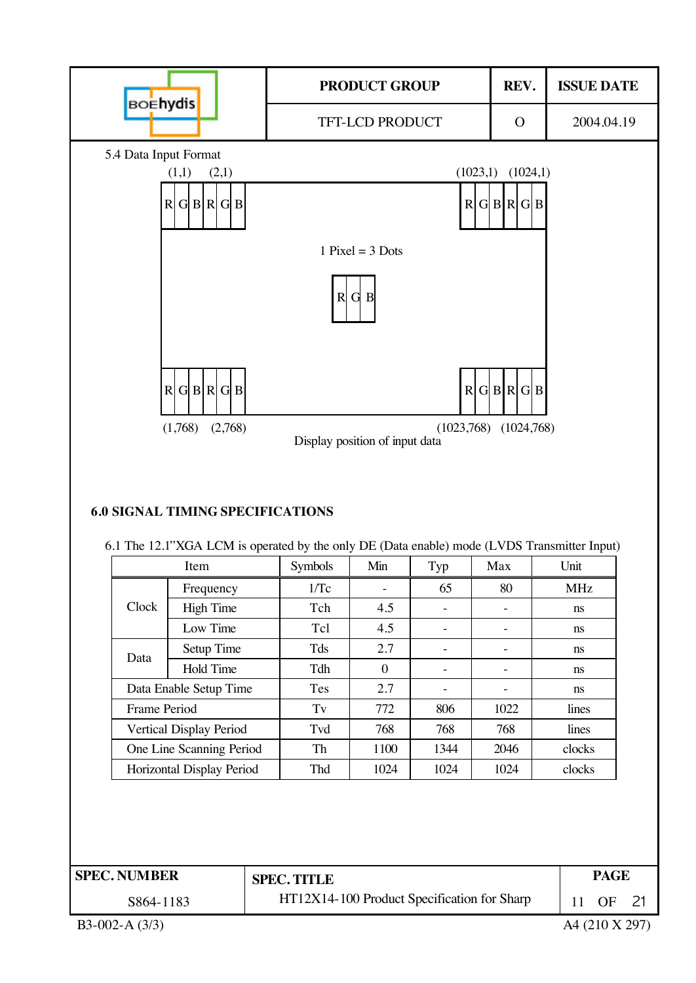

B3-002-A (3/3) A4 (210 X 297)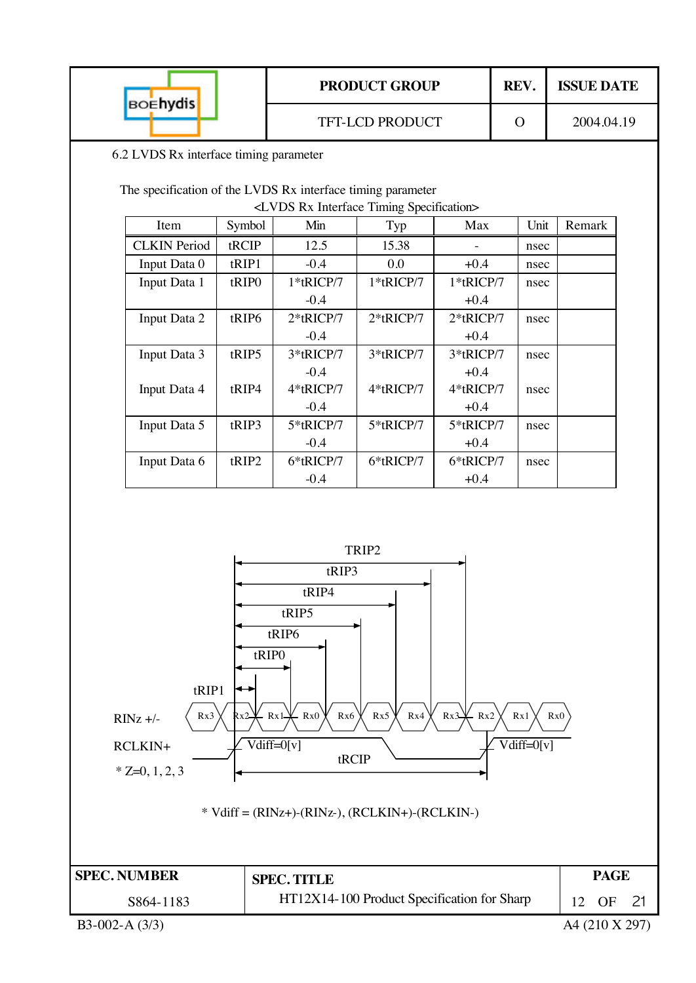| 6.2 LVDS Rx interface timing parameter<br>The specification of the LVDS Rx interface timing parameter<br><lvds interface="" rx="" specification="" timing=""><br/>Min<br/>Symbol<br/>tRCIP<br/>12.5</lvds> | <b>TFT-LCD PRODUCT</b><br>Typ<br>15.38                                                                                                 | Max                                    | $\Omega$<br>Unit                                                     | 2004.04.19<br>Remark |
|------------------------------------------------------------------------------------------------------------------------------------------------------------------------------------------------------------|----------------------------------------------------------------------------------------------------------------------------------------|----------------------------------------|----------------------------------------------------------------------|----------------------|
|                                                                                                                                                                                                            |                                                                                                                                        |                                        |                                                                      |                      |
|                                                                                                                                                                                                            |                                                                                                                                        |                                        |                                                                      |                      |
|                                                                                                                                                                                                            |                                                                                                                                        |                                        |                                                                      |                      |
|                                                                                                                                                                                                            |                                                                                                                                        |                                        |                                                                      |                      |
|                                                                                                                                                                                                            |                                                                                                                                        |                                        |                                                                      |                      |
|                                                                                                                                                                                                            |                                                                                                                                        |                                        |                                                                      |                      |
| $-0.4$<br>tRIP1                                                                                                                                                                                            | 0.0                                                                                                                                    | $+0.4$                                 | nsec                                                                 |                      |
|                                                                                                                                                                                                            |                                                                                                                                        |                                        | nsec                                                                 |                      |
|                                                                                                                                                                                                            |                                                                                                                                        |                                        |                                                                      |                      |
|                                                                                                                                                                                                            |                                                                                                                                        |                                        |                                                                      |                      |
|                                                                                                                                                                                                            |                                                                                                                                        |                                        |                                                                      |                      |
|                                                                                                                                                                                                            |                                                                                                                                        |                                        |                                                                      |                      |
|                                                                                                                                                                                                            |                                                                                                                                        |                                        |                                                                      |                      |
| 4*tRICP/7                                                                                                                                                                                                  | 4*tRICP/7                                                                                                                              | 4*tRICP/7                              | nsec                                                                 |                      |
| $-0.4$                                                                                                                                                                                                     |                                                                                                                                        | $+0.4$                                 |                                                                      |                      |
| 5*tRICP/7                                                                                                                                                                                                  | 5*tRICP/7                                                                                                                              | 5*tRICP/7                              | nsec                                                                 |                      |
| $-0.4$                                                                                                                                                                                                     |                                                                                                                                        | $+0.4$                                 |                                                                      |                      |
| 6*tRICP/7                                                                                                                                                                                                  | 6*tRICP/7                                                                                                                              | 6*tRICP/7                              | nsec                                                                 |                      |
| $-0.4$                                                                                                                                                                                                     |                                                                                                                                        | $+0.4$                                 |                                                                      |                      |
|                                                                                                                                                                                                            | 1*tRICP/7<br>tRIP <sub>0</sub><br>$-0.4$<br>tRIP6<br>$2*$ tRICP/7<br>$-0.4$<br>3*tRICP/7<br>tRIP5<br>$-0.4$<br>tRIP4<br>tRIP3<br>tRIP2 | 1*tRICP/7<br>$2*$ tRICP/7<br>3*tRICP/7 | 1*tRICP/7<br>$+0.4$<br>$2*$ tRICP/7<br>$+0.4$<br>3*tRICP/7<br>$+0.4$ | nsec<br>nsec<br>nsec |

**SPEC. NUMBER PAGE** 

tRCIP

RCLKIN+ Vdiff=0[v] Vdiff=0[v]

\* Vdiff = (RINz+)-(RINz-), (RCLKIN+)-(RCLKIN-)

HT12X14-100 Product Specification for Sharp

**SPEC. TITLE**

S864-1183

 $*$  Z=0, 1, 2, 3

12 OF 21 B3-002-A (3/3) A4 (210 X 297)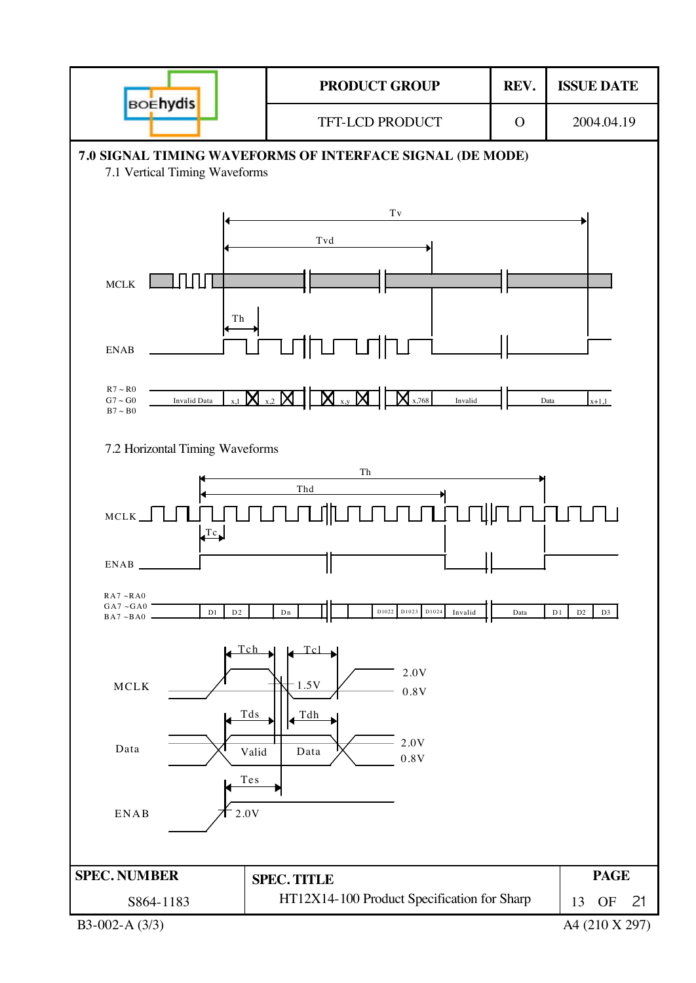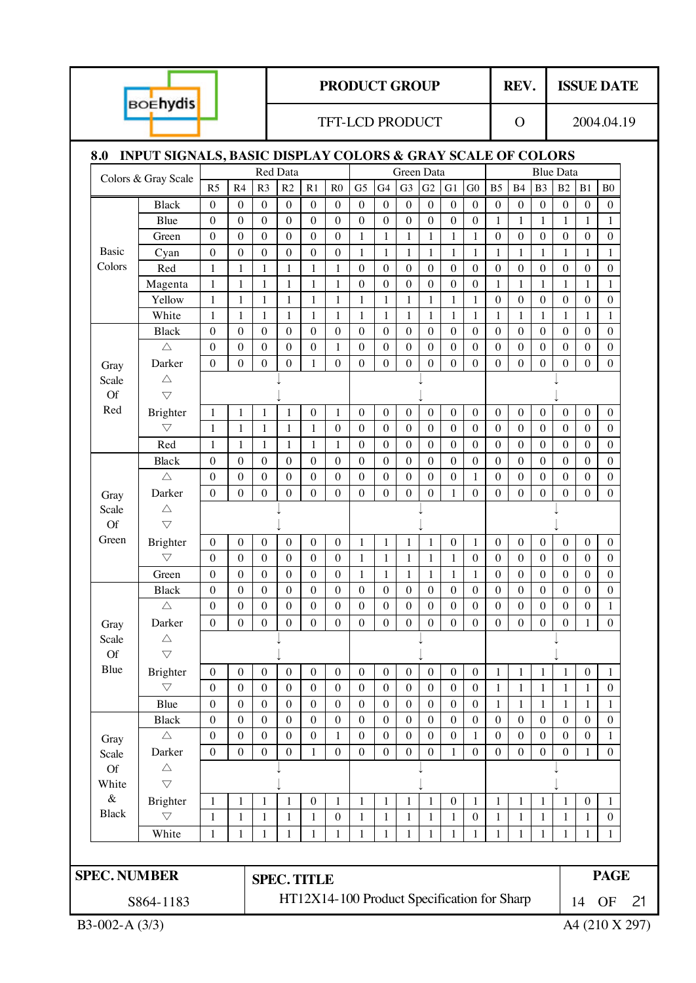|                     | <b>BOEhydis</b>                                                       |                                      |                          |                              |                      |                                  | <b>PRODUCT GROUP</b>                        |                   |                   |                              |                          |                   |                   |                       | REV.                  |                       |                       |                                | <b>ISSUE DATE</b>     |                |
|---------------------|-----------------------------------------------------------------------|--------------------------------------|--------------------------|------------------------------|----------------------|----------------------------------|---------------------------------------------|-------------------|-------------------|------------------------------|--------------------------|-------------------|-------------------|-----------------------|-----------------------|-----------------------|-----------------------|--------------------------------|-----------------------|----------------|
|                     |                                                                       |                                      |                          |                              |                      |                                  | <b>TFT-LCD PRODUCT</b>                      |                   |                   |                              |                          |                   |                   |                       | $\Omega$              |                       |                       |                                | 2004.04.19            |                |
| 8.0                 | <b>INPUT SIGNALS, BASIC DISPLAY COLORS &amp; GRAY SCALE OF COLORS</b> |                                      |                          |                              |                      |                                  |                                             |                   |                   |                              |                          |                   |                   |                       |                       |                       |                       |                                |                       |                |
|                     | Colors & Gray Scale                                                   |                                      |                          |                              | Red Data             |                                  |                                             |                   |                   | Green Data                   |                          |                   |                   |                       |                       |                       | <b>Blue Data</b>      |                                |                       |                |
|                     |                                                                       | R <sub>5</sub>                       | R4                       | R <sub>3</sub>               | R2                   | R1                               | R <sub>0</sub>                              | G <sub>5</sub>    | G4                | G <sub>3</sub>               | G <sub>2</sub>           | G1                | ${\rm G0}$        | B <sub>5</sub>        | <b>B4</b>             | B <sub>3</sub>        | B <sub>2</sub>        | B1                             | B <sub>0</sub>        |                |
|                     | <b>Black</b>                                                          | $\boldsymbol{0}$                     | $\boldsymbol{0}$         | $\boldsymbol{0}$             | $\theta$             | $\theta$                         | $\theta$                                    | $\mathbf{0}$      | $\boldsymbol{0}$  | $\mathbf{0}$                 | $\boldsymbol{0}$         | $\overline{0}$    | $\boldsymbol{0}$  | $\mathbf{0}$          | $\Omega$              | $\theta$              | $\overline{0}$        | $\boldsymbol{0}$               | $\boldsymbol{0}$      |                |
|                     | Blue                                                                  | $\boldsymbol{0}$<br>$\boldsymbol{0}$ | $\mathbf{0}$<br>$\theta$ | $\boldsymbol{0}$<br>$\theta$ | $\theta$<br>$\theta$ | $\boldsymbol{0}$<br>$\mathbf{0}$ | $\boldsymbol{0}$<br>$\boldsymbol{0}$        | $\boldsymbol{0}$  | $\theta$          | $\boldsymbol{0}$             | $\boldsymbol{0}$         | $\theta$          | $\boldsymbol{0}$  | 1                     | 1                     | 1<br>$\boldsymbol{0}$ | 1                     | $\mathbf{1}$<br>$\overline{0}$ | 1<br>$\boldsymbol{0}$ |                |
| <b>Basic</b>        | Green                                                                 | $\boldsymbol{0}$                     | $\theta$                 | $\theta$                     | $\theta$             | $\theta$                         | $\theta$                                    | $\mathbf{1}$<br>1 | $\mathbf{1}$<br>1 | $\mathbf{1}$<br>$\mathbf{1}$ | $\mathbf{1}$             | $\mathbf{1}$<br>1 | $\mathbf{1}$<br>1 | $\boldsymbol{0}$<br>1 | $\boldsymbol{0}$<br>1 | 1                     | $\boldsymbol{0}$<br>1 | 1                              | 1                     |                |
| Colors              | Cyan<br>Red                                                           | $\mathbf{1}$                         | 1                        | 1                            | 1                    | 1                                | $\mathbf{1}$                                | $\theta$          | $\theta$          | $\theta$                     | $\mathbf{1}$<br>$\theta$ | $\theta$          | $\theta$          | $\boldsymbol{0}$      | $\theta$              | $\theta$              | $\theta$              | $\Omega$                       | $\boldsymbol{0}$      |                |
|                     | Magenta                                                               | $\mathbf{1}$                         | 1                        | 1                            | 1                    | 1                                | 1                                           | $\boldsymbol{0}$  | $\boldsymbol{0}$  | $\boldsymbol{0}$             | $\boldsymbol{0}$         | $\mathbf{0}$      | $\boldsymbol{0}$  | 1                     | 1                     | 1                     | 1                     | 1                              | 1                     |                |
|                     | Yellow                                                                | $\mathbf{1}$                         | $\mathbf{1}$             | $\mathbf{1}$                 | 1                    | $\mathbf{1}$                     | $\mathbf{1}$                                | $\mathbf{1}$      | $\mathbf{1}$      | $\mathbf{1}$                 | $\mathbf{1}$             | $\mathbf{1}$      | $\mathbf{1}$      | $\boldsymbol{0}$      | $\theta$              | $\boldsymbol{0}$      | $\theta$              | $\overline{0}$                 | $\boldsymbol{0}$      |                |
|                     | White                                                                 | $\mathbf{1}$                         | 1                        | 1                            | 1                    | 1                                | $\mathbf{1}$                                | 1                 | 1                 | $\mathbf{1}$                 | $\mathbf{1}$             | 1                 | $\mathbf{1}$      | $\mathbf{1}$          | 1                     | 1                     | 1                     | 1                              | 1                     |                |
|                     | <b>Black</b>                                                          | $\boldsymbol{0}$                     | $\mathbf{0}$             | $\theta$                     | $\theta$             | $\theta$                         | $\theta$                                    | $\theta$          | $\boldsymbol{0}$  | $\theta$                     | $\mathbf{0}$             | $\boldsymbol{0}$  | $\mathbf{0}$      | $\theta$              | $\theta$              | $\mathbf{0}$          | $\theta$              | $\overline{0}$                 | $\boldsymbol{0}$      |                |
|                     | $\triangle$                                                           | $\boldsymbol{0}$                     | $\boldsymbol{0}$         | $\boldsymbol{0}$             | $\boldsymbol{0}$     | $\boldsymbol{0}$                 | 1                                           | $\boldsymbol{0}$  | $\boldsymbol{0}$  | $\boldsymbol{0}$             | $\boldsymbol{0}$         | $\boldsymbol{0}$  | $\boldsymbol{0}$  | $\boldsymbol{0}$      | $\boldsymbol{0}$      | $\boldsymbol{0}$      | $\boldsymbol{0}$      | $\boldsymbol{0}$               | $\boldsymbol{0}$      |                |
| Gray                | Darker                                                                | $\boldsymbol{0}$                     | $\theta$                 | $\boldsymbol{0}$             | $\boldsymbol{0}$     | $\mathbf{1}$                     | $\mathbf{0}$                                | $\theta$          | $\theta$          | $\mathbf{0}$                 | $\boldsymbol{0}$         | $\overline{0}$    | $\overline{0}$    | $\boldsymbol{0}$      | $\mathbf{0}$          | $\mathbf{0}$          | $\boldsymbol{0}$      | $\Omega$                       | $\overline{0}$        |                |
| Scale               | $\triangle$                                                           |                                      |                          |                              |                      |                                  |                                             |                   |                   |                              |                          |                   |                   |                       |                       |                       |                       |                                |                       |                |
| <b>Of</b>           | $\bigtriangledown$                                                    |                                      |                          |                              |                      |                                  |                                             |                   |                   |                              |                          |                   |                   |                       |                       |                       |                       |                                |                       |                |
| Red                 | Brighter                                                              | 1                                    | $\mathbf{1}$             | $\mathbf 1$                  | $\mathbf{1}$         | $\mathbf{0}$                     | $\mathbf{1}$                                | $\boldsymbol{0}$  | $\boldsymbol{0}$  | $\boldsymbol{0}$             | $\boldsymbol{0}$         | $\boldsymbol{0}$  | $\boldsymbol{0}$  | $\boldsymbol{0}$      | $\boldsymbol{0}$      | $\boldsymbol{0}$      | $\boldsymbol{0}$      | $\mathbf{0}$                   | $\boldsymbol{0}$      |                |
|                     | $\bigtriangledown$                                                    | $\mathbf{1}$                         | $\mathbf{1}$             | $\mathbf{1}$                 | 1                    | 1                                | $\boldsymbol{0}$                            | $\boldsymbol{0}$  | $\boldsymbol{0}$  | $\mathbf{0}$                 | $\boldsymbol{0}$         | $\boldsymbol{0}$  | $\boldsymbol{0}$  | $\boldsymbol{0}$      | $\mathbf{0}$          | $\mathbf{0}$          | $\mathbf{0}$          | $\overline{0}$                 | $\overline{0}$        |                |
|                     | Red                                                                   | 1                                    | 1                        | $\mathbf{1}$                 | 1                    | 1                                | 1                                           | $\boldsymbol{0}$  | $\boldsymbol{0}$  | $\boldsymbol{0}$             | $\boldsymbol{0}$         | $\boldsymbol{0}$  | $\boldsymbol{0}$  | $\boldsymbol{0}$      | $\boldsymbol{0}$      | $\boldsymbol{0}$      | $\boldsymbol{0}$      | $\boldsymbol{0}$               | $\boldsymbol{0}$      |                |
|                     | Black                                                                 | $\boldsymbol{0}$                     | $\boldsymbol{0}$         | $\boldsymbol{0}$             | $\overline{0}$       | $\mathbf{0}$                     | $\boldsymbol{0}$                            | $\boldsymbol{0}$  | $\boldsymbol{0}$  | $\boldsymbol{0}$             | $\boldsymbol{0}$         | $\mathbf{0}$      | $\boldsymbol{0}$  | $\boldsymbol{0}$      | $\boldsymbol{0}$      | $\boldsymbol{0}$      | $\mathbf{0}$          | $\mathbf{0}$                   | $\boldsymbol{0}$      |                |
|                     | $\triangle$                                                           | $\boldsymbol{0}$                     | $\boldsymbol{0}$         | $\mathbf{0}$                 | $\boldsymbol{0}$     | $\boldsymbol{0}$                 | $\boldsymbol{0}$                            | $\boldsymbol{0}$  | $\boldsymbol{0}$  | $\boldsymbol{0}$             | $\boldsymbol{0}$         | $\boldsymbol{0}$  | 1                 | $\boldsymbol{0}$      | $\boldsymbol{0}$      | $\boldsymbol{0}$      | $\boldsymbol{0}$      | $\boldsymbol{0}$               | $\boldsymbol{0}$      |                |
| Gray                | Darker                                                                | $\theta$                             | $\theta$                 | $\theta$                     | $\theta$             | $\theta$                         | $\theta$                                    | $\Omega$          | $\theta$          | $\theta$                     | $\boldsymbol{0}$         | 1                 | $\theta$          | $\Omega$              | $\theta$              | $\theta$              | $\theta$              | $\Omega$                       | $\theta$              |                |
| Scale               | $\triangle$                                                           |                                      |                          |                              |                      |                                  |                                             |                   |                   |                              |                          |                   |                   |                       |                       |                       |                       |                                |                       |                |
| <b>Of</b>           | $\bigtriangledown$                                                    |                                      |                          |                              |                      |                                  |                                             |                   |                   |                              |                          |                   |                   |                       |                       |                       |                       |                                |                       |                |
| Green               | Brighter                                                              | $\boldsymbol{0}$                     | $\boldsymbol{0}$         | $\boldsymbol{0}$             | $\boldsymbol{0}$     | $\boldsymbol{0}$                 | $\boldsymbol{0}$                            | 1                 | 1                 | 1                            | 1                        | $\boldsymbol{0}$  | 1                 | $\boldsymbol{0}$      | $\boldsymbol{0}$      | $\boldsymbol{0}$      | $\boldsymbol{0}$      | $\boldsymbol{0}$               | $\boldsymbol{0}$      |                |
|                     | $\bigtriangledown$                                                    | $\boldsymbol{0}$                     | $\boldsymbol{0}$         | $\boldsymbol{0}$             | $\mathbf{0}$         | $\boldsymbol{0}$                 | $\boldsymbol{0}$                            | 1                 | $\mathbf{1}$      | $\mathbf{1}$                 | $\mathbf{1}$             | $\mathbf{1}$      | $\boldsymbol{0}$  | $\boldsymbol{0}$      | $\boldsymbol{0}$      | $\boldsymbol{0}$      | $\boldsymbol{0}$      | $\mathbf{0}$                   | $\boldsymbol{0}$      |                |
|                     | Green                                                                 | $\boldsymbol{0}$                     | $\boldsymbol{0}$         | $\boldsymbol{0}$             | $\boldsymbol{0}$     | $\boldsymbol{0}$                 | $\boldsymbol{0}$                            | 1                 | 1                 | 1                            | 1                        | 1                 | 1                 | $\boldsymbol{0}$      | $\boldsymbol{0}$      | $\boldsymbol{0}$      | $\boldsymbol{0}$      | $\boldsymbol{0}$               | $\boldsymbol{0}$      |                |
|                     | <b>Black</b>                                                          | $\theta$                             | $\theta$                 | $\theta$                     | $\theta$             | $\theta$                         | $\theta$                                    | $\theta$          | 0                 | $\theta$                     | $\theta$                 | $\theta$          | $\theta$          | 0                     | $\theta$              | $\theta$              | $\theta$              | 0                              | $\theta$              |                |
|                     | $\triangle$                                                           | $\boldsymbol{0}$                     | $\boldsymbol{0}$         | $\boldsymbol{0}$             | $\theta$             | $\boldsymbol{0}$                 | $\boldsymbol{0}$                            | $\boldsymbol{0}$  | $\boldsymbol{0}$  | $\boldsymbol{0}$             | $\boldsymbol{0}$         | $\boldsymbol{0}$  | $\boldsymbol{0}$  | $\boldsymbol{0}$      | $\boldsymbol{0}$      | $\boldsymbol{0}$      | $\boldsymbol{0}$      | $\mathbf{0}$                   | 1                     |                |
| Gray                | Darker                                                                | $\boldsymbol{0}$                     | $\boldsymbol{0}$         | $\boldsymbol{0}$             | $\boldsymbol{0}$     | $\overline{0}$                   | $\boldsymbol{0}$                            | $\boldsymbol{0}$  | $\boldsymbol{0}$  | $\boldsymbol{0}$             | $\boldsymbol{0}$         | $\overline{0}$    | $\boldsymbol{0}$  | $\boldsymbol{0}$      | $\overline{0}$        | $\boldsymbol{0}$      | $\boldsymbol{0}$      | 1                              | $\overline{0}$        |                |
| Scale               | $\triangle$                                                           |                                      |                          |                              |                      |                                  |                                             |                   |                   |                              |                          |                   |                   |                       |                       |                       |                       |                                |                       |                |
| <b>Of</b>           | $\triangledown$                                                       |                                      |                          |                              |                      |                                  |                                             |                   |                   |                              |                          |                   |                   |                       |                       |                       |                       |                                |                       |                |
| Blue                | Brighter                                                              | $\boldsymbol{0}$                     | $\boldsymbol{0}$         | $\boldsymbol{0}$             | $\overline{0}$       | $\boldsymbol{0}$                 | $\boldsymbol{0}$                            | $\boldsymbol{0}$  | $\boldsymbol{0}$  | $\boldsymbol{0}$             | $\boldsymbol{0}$         | $\boldsymbol{0}$  | $\boldsymbol{0}$  | $\mathbf{1}$          | 1                     | $\mathbf{1}$          | $\mathbf{1}$          | $\boldsymbol{0}$               | $\mathbf{1}$          |                |
|                     | $\triangledown$                                                       | $\boldsymbol{0}$                     | $\boldsymbol{0}$         | $\boldsymbol{0}$             | $\boldsymbol{0}$     | $\mathbf{0}$                     | $\boldsymbol{0}$                            | $\boldsymbol{0}$  | $\boldsymbol{0}$  | $\mathbf{0}$                 | $\boldsymbol{0}$         | $\boldsymbol{0}$  | $\boldsymbol{0}$  | $\mathbf{1}$          | 1                     | 1                     | 1                     | $\mathbf{1}$                   | $\overline{0}$        |                |
|                     | Blue                                                                  | $\boldsymbol{0}$                     | $\boldsymbol{0}$         | $\boldsymbol{0}$             | $\boldsymbol{0}$     | $\boldsymbol{0}$                 | $\boldsymbol{0}$                            | $\boldsymbol{0}$  | $\boldsymbol{0}$  | $\boldsymbol{0}$             | $\boldsymbol{0}$         | $\boldsymbol{0}$  | $\boldsymbol{0}$  | $\mathbf{1}$          | 1                     | 1                     | $\mathbf{1}$          | $\mathbf{1}$                   | 1                     |                |
|                     | <b>Black</b>                                                          | $\boldsymbol{0}$                     | $\boldsymbol{0}$         | $\boldsymbol{0}$             | $\boldsymbol{0}$     | $\boldsymbol{0}$                 | $\boldsymbol{0}$                            | $\boldsymbol{0}$  | $\boldsymbol{0}$  | $\boldsymbol{0}$             | $\boldsymbol{0}$         | $\boldsymbol{0}$  | $\boldsymbol{0}$  | $\boldsymbol{0}$      | $\boldsymbol{0}$      | $\boldsymbol{0}$      | $\mathbf{0}$          | $\mathbf{0}$                   | $\boldsymbol{0}$      |                |
| Gray                | $\triangle$                                                           | $\boldsymbol{0}$                     | $\boldsymbol{0}$         | $\boldsymbol{0}$             | $\boldsymbol{0}$     | $\boldsymbol{0}$                 | 1                                           | $\boldsymbol{0}$  | $\boldsymbol{0}$  | $\boldsymbol{0}$             | $\boldsymbol{0}$         | $\boldsymbol{0}$  | $\mathbf{1}$      | $\boldsymbol{0}$      | $\boldsymbol{0}$      | $\boldsymbol{0}$      | $\mathbf{0}$          | $\mathbf{0}$                   | $\mathbf{1}$          |                |
| Scale               | Darker                                                                | $\boldsymbol{0}$                     | $\theta$                 | $\boldsymbol{0}$             | $\boldsymbol{0}$     | 1                                | $\boldsymbol{0}$                            | $\boldsymbol{0}$  | $\boldsymbol{0}$  | $\boldsymbol{0}$             | $\boldsymbol{0}$         | 1                 | $\boldsymbol{0}$  | $\overline{0}$        | $\theta$              | $\boldsymbol{0}$      | $\boldsymbol{0}$      | $\mathbf{1}$                   | $\boldsymbol{0}$      |                |
| <b>Of</b>           | $\triangle$                                                           |                                      |                          |                              |                      |                                  |                                             |                   |                   |                              |                          |                   |                   |                       |                       |                       |                       |                                |                       |                |
| White               | $\triangledown$                                                       |                                      |                          |                              |                      |                                  |                                             |                   |                   |                              |                          |                   |                   |                       |                       |                       |                       |                                |                       |                |
| $\&$                | Brighter                                                              | $\mathbf{1}$                         | 1                        | $\mathbf{1}$                 | $\mathbf{1}$         | $\boldsymbol{0}$                 | $\mathbf{1}$                                | 1                 | 1                 | $\mathbf{1}$                 | $\mathbf{1}$             | $\boldsymbol{0}$  | $\mathbf{1}$      | $\mathbf{1}$          | 1                     | 1                     | 1                     | $\boldsymbol{0}$               | 1                     |                |
| <b>Black</b>        | $\bigtriangledown$                                                    | $\mathbf{1}$                         | $\mathbf{1}$             | $\mathbf{1}$                 | $\mathbf{1}$         | $\mathbf{1}$                     | $\boldsymbol{0}$                            | $\mathbf{1}$      | $\mathbf{1}$      | $\mathbf{1}$                 | $\mathbf{1}$             | $\mathbf{1}$      | $\boldsymbol{0}$  | $\mathbf{1}$          | $\mathbf{1}$          | $\mathbf{1}$          | $\mathbf{1}$          | $\mathbf{1}$                   | $\boldsymbol{0}$      |                |
|                     | White                                                                 | 1                                    | 1                        | 1                            | 1                    | 1                                | 1                                           | 1                 | 1                 | $\mathbf{1}$                 | 1                        | 1                 | 1                 | 1                     | 1                     | 1                     | 1                     | 1                              | 1                     |                |
|                     |                                                                       |                                      |                          |                              |                      |                                  |                                             |                   |                   |                              |                          |                   |                   |                       |                       |                       |                       |                                |                       |                |
| <b>SPEC. NUMBER</b> |                                                                       |                                      |                          |                              | <b>SPEC. TITLE</b>   |                                  |                                             |                   |                   |                              |                          |                   |                   |                       |                       |                       |                       |                                | <b>PAGE</b>           |                |
|                     | S864-1183                                                             |                                      |                          |                              |                      |                                  | HT12X14-100 Product Specification for Sharp |                   |                   |                              |                          |                   |                   |                       |                       |                       |                       | 14                             | <b>OF</b>             | 21             |
| B3-002-A $(3/3)$    |                                                                       |                                      |                          |                              |                      |                                  |                                             |                   |                   |                              |                          |                   |                   |                       |                       |                       |                       |                                |                       | A4 (210 X 297) |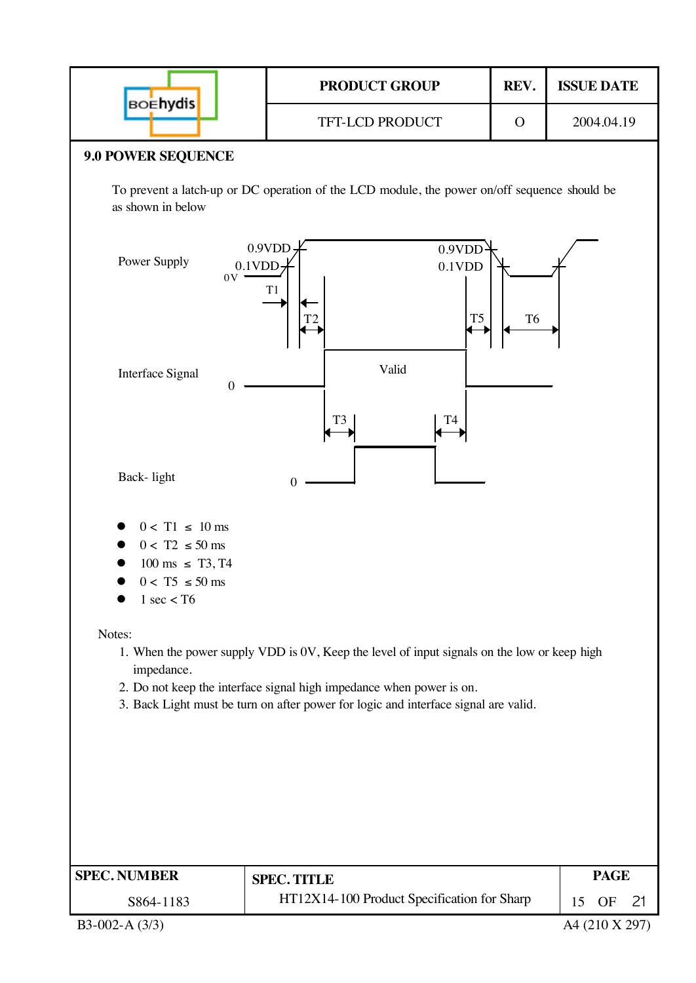|                                                                                                                         | <b>PRODUCT GROUP</b>                                                                                                                                                                                                                                       | REV.           | <b>ISSUE DATE</b>                |
|-------------------------------------------------------------------------------------------------------------------------|------------------------------------------------------------------------------------------------------------------------------------------------------------------------------------------------------------------------------------------------------------|----------------|----------------------------------|
| <b>BOEhydis</b>                                                                                                         | TFT-LCD PRODUCT                                                                                                                                                                                                                                            | $\Omega$       | 2004.04.19                       |
| <b>9.0 POWER SEQUENCE</b>                                                                                               |                                                                                                                                                                                                                                                            |                |                                  |
| as shown in below                                                                                                       | To prevent a latch-up or DC operation of the LCD module, the power on/off sequence should be                                                                                                                                                               |                |                                  |
| Power Supply<br>0V                                                                                                      | 0.9VDD<br>0.9VDD<br>$0.1$ VDD<br>$0.1$ VDD<br>T1<br>T <sub>5</sub>                                                                                                                                                                                         | T <sub>6</sub> |                                  |
| Interface Signal<br>$\boldsymbol{0}$                                                                                    | Valid<br>T3<br>T4                                                                                                                                                                                                                                          |                |                                  |
| Back-light                                                                                                              | 0                                                                                                                                                                                                                                                          |                |                                  |
| $0 < T1 \le 10$ ms<br>$0 < T2 \le 50$ ms<br>$100 \text{ ms } \leq T3, T4$<br>$0 < T5 \le 50$ ms<br>$1 \text{ sec} <$ T6 |                                                                                                                                                                                                                                                            |                |                                  |
| Notes:<br>impedance.                                                                                                    | 1. When the power supply VDD is 0V, Keep the level of input signals on the low or keep high<br>2. Do not keep the interface signal high impedance when power is on.<br>3. Back Light must be turn on after power for logic and interface signal are valid. |                |                                  |
|                                                                                                                         |                                                                                                                                                                                                                                                            |                |                                  |
| <b>SPEC. NUMBER</b>                                                                                                     | <b>SPEC. TITLE</b>                                                                                                                                                                                                                                         |                | <b>PAGE</b>                      |
| S864-1183<br>B3-002-A $(3/3)$                                                                                           | HT12X14-100 Product Specification for Sharp                                                                                                                                                                                                                |                | 15<br>OF<br>21<br>A4 (210 X 297) |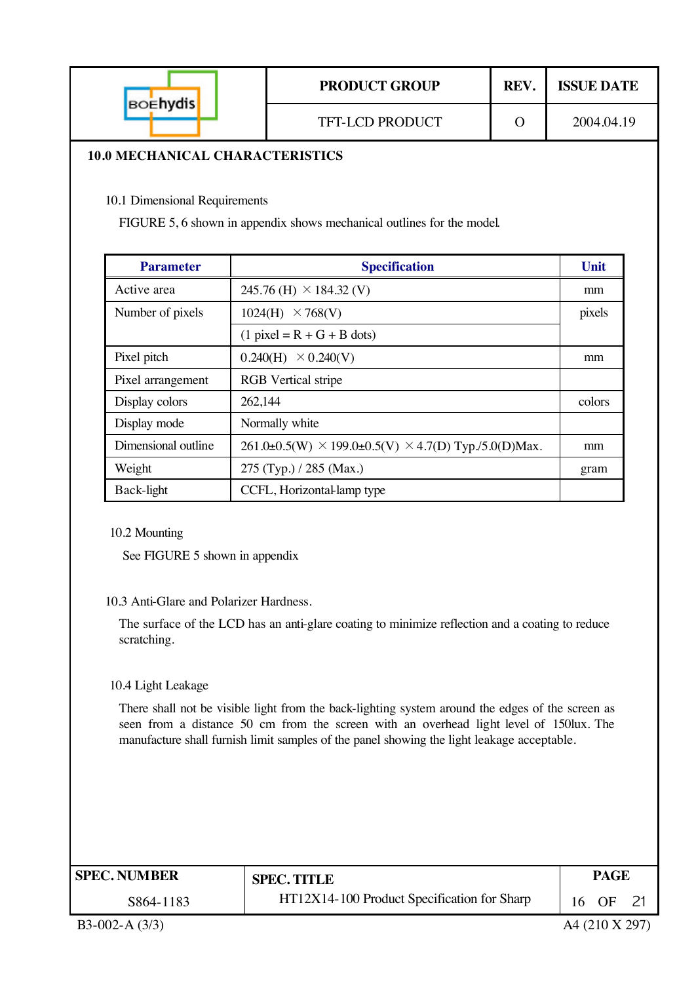|                                        | <b>PRODUCT GROUP</b>   | <b>REV</b> | <b>ISSUE DATE</b> |
|----------------------------------------|------------------------|------------|-------------------|
| <b>BOEhydis</b>                        | <b>TFT-LCD PRODUCT</b> |            | 2004.04.19        |
| <b>10.0 MECHANICAL CHARACTERISTICS</b> |                        |            |                   |

10.1 Dimensional Requirements

FIGURE 5, 6 shown in appendix shows mechanical outlines for the model.

| <b>Parameter</b>    | <b>Specification</b>                                                 | Unit   |
|---------------------|----------------------------------------------------------------------|--------|
| Active area         | 245.76 (H) $\times$ 184.32 (V)                                       | mm     |
| Number of pixels    | 1024(H)<br>$\times$ 768(V)                                           | pixels |
|                     | $(1$ pixel = R + G + B dots)                                         |        |
| Pixel pitch         | $0.240(H) \times 0.240(V)$                                           | mm     |
| Pixel arrangement   | <b>RGB</b> Vertical stripe                                           |        |
| Display colors      | 262,144                                                              | colors |
| Display mode        | Normally white                                                       |        |
| Dimensional outline | $261.0\pm0.5(W) \times 199.0\pm0.5(V) \times 4.7(D)$ Typ./5.0(D)Max. | mm     |
| Weight              | 275 (Typ.) / 285 (Max.)                                              | gram   |
| Back-light          | CCFL, Horizontallamp type                                            |        |

10.2 Mounting

See FIGURE 5 shown in appendix

#### 10.3 Anti-Glare and Polarizer Hardness.

The surface of the LCD has an anti-glare coating to minimize reflection and a coating to reduce scratching.

10.4 Light Leakage

There shall not be visible light from the back-lighting system around the edges of the screen as seen from a distance 50 cm from the screen with an overhead light level of 150lux. The manufacture shall furnish limit samples of the panel showing the light leakage acceptable.

| <b>SPEC. NUMBER</b> | <b>SPEC. TITLE</b>                          | PAGE  |  |
|---------------------|---------------------------------------------|-------|--|
| S864-1183           | HT12X14-100 Product Specification for Sharp | 16 OF |  |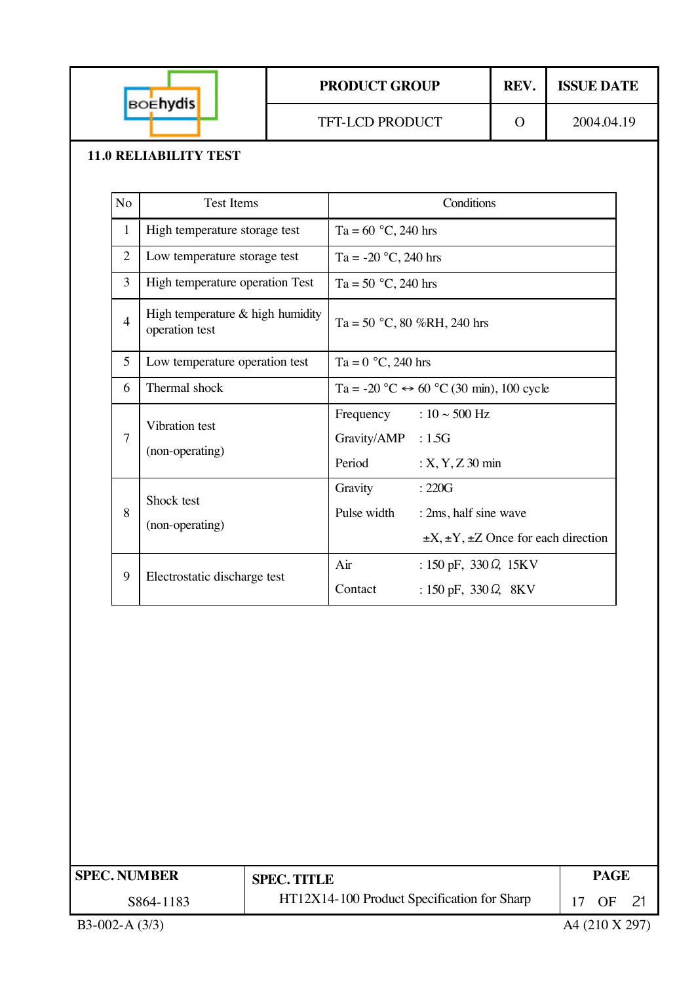| <b>BOENVdis</b> | <b>PRODUCT GROUP</b>   | REV. | <b>ISSUE DATE</b> |
|-----------------|------------------------|------|-------------------|
|                 | <b>TFT-LCD PRODUCT</b> |      | 2004.04.19        |

#### **11.0 RELIABILITY TEST**

| N <sub>o</sub> | <b>Test Items</b>                                    | Conditions                                                                                                       |  |
|----------------|------------------------------------------------------|------------------------------------------------------------------------------------------------------------------|--|
| $\mathbf{1}$   | High temperature storage test                        | Ta = $60 °C$ , 240 hrs                                                                                           |  |
| $\overline{2}$ | Low temperature storage test                         | Ta = $-20$ °C, 240 hrs                                                                                           |  |
| 3              | High temperature operation Test                      | Ta = 50 $^{\circ}$ C, 240 hrs                                                                                    |  |
| $\overline{4}$ | High temperature $&$ high humidity<br>operation test | Ta = 50 °C, 80 %RH, 240 hrs                                                                                      |  |
| 5              | Low temperature operation test                       | Ta = $0 °C$ , 240 hrs                                                                                            |  |
| 6              | Thermal shock                                        | Ta = -20 °C $\leftrightarrow$ 60 °C (30 min), 100 cycle                                                          |  |
| $\overline{7}$ | Vibration test<br>(non-operating)                    | Frequency : $10 \sim 500$ Hz<br>Gravity/AMP : 1.5G<br>Period<br>$: X, Y, Z$ 30 min                               |  |
| 8              | Shock test<br>(non-operating)                        | Gravity<br>: 220G<br>Pulse width<br>: 2ms, half sine wave<br>$\pm X$ , $\pm Y$ , $\pm Z$ Once for each direction |  |
| 9              | Electrostatic discharge test                         | Air<br>: 150 pF, $330 \Omega$ , 15KV<br>Contact<br>: 150 pF, 330 $Q$ , 8KV                                       |  |

| <b>SPEC. NUMBER</b> | <b>SPEC. TITLE</b>                          | <b>PAGE</b>    |  |
|---------------------|---------------------------------------------|----------------|--|
| S864-1183           | HT12X14-100 Product Specification for Sharp | 1 17 OF 21     |  |
| $B3-002-A(3/3)$     |                                             | A4 (210 X 297) |  |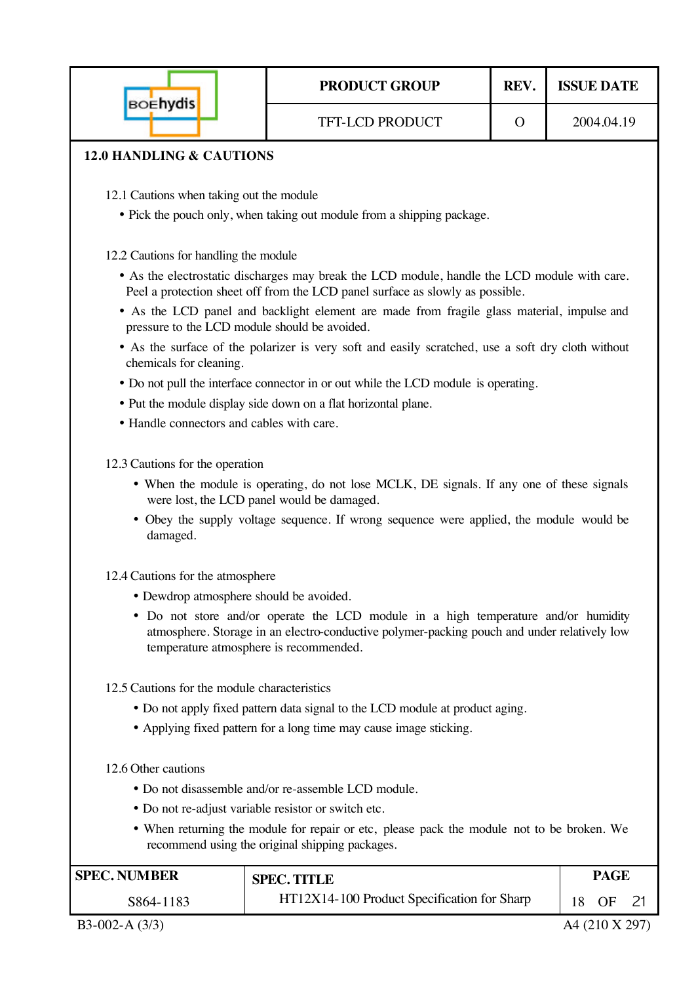|                                              | <b>PRODUCT GROUP</b>                                                                                                                                                                                                        | REV.     | <b>ISSUE DATE</b> |
|----------------------------------------------|-----------------------------------------------------------------------------------------------------------------------------------------------------------------------------------------------------------------------------|----------|-------------------|
| <b>BOEhydis</b>                              | <b>TFT-LCD PRODUCT</b>                                                                                                                                                                                                      | $\Omega$ | 2004.04.19        |
| <b>12.0 HANDLING &amp; CAUTIONS</b>          |                                                                                                                                                                                                                             |          |                   |
| 12.1 Cautions when taking out the module     |                                                                                                                                                                                                                             |          |                   |
|                                              | • Pick the pouch only, when taking out module from a shipping package.                                                                                                                                                      |          |                   |
| 12.2 Cautions for handling the module        |                                                                                                                                                                                                                             |          |                   |
|                                              | • As the electrostatic discharges may break the LCD module, handle the LCD module with care.<br>Peel a protection sheet off from the LCD panel surface as slowly as possible.                                               |          |                   |
|                                              | • As the LCD panel and backlight element are made from fragile glass material, impulse and<br>pressure to the LCD module should be avoided.                                                                                 |          |                   |
| chemicals for cleaning.                      | • As the surface of the polarizer is very soft and easily scratched, use a soft dry cloth without                                                                                                                           |          |                   |
|                                              | • Do not pull the interface connector in or out while the LCD module is operating.                                                                                                                                          |          |                   |
|                                              | • Put the module display side down on a flat horizontal plane.                                                                                                                                                              |          |                   |
| • Handle connectors and cables with care.    |                                                                                                                                                                                                                             |          |                   |
| 12.3 Cautions for the operation              |                                                                                                                                                                                                                             |          |                   |
|                                              | • When the module is operating, do not lose MCLK, DE signals. If any one of these signals<br>were lost, the LCD panel would be damaged.                                                                                     |          |                   |
| damaged.                                     | • Obey the supply voltage sequence. If wrong sequence were applied, the module would be                                                                                                                                     |          |                   |
| 12.4 Cautions for the atmosphere             |                                                                                                                                                                                                                             |          |                   |
|                                              | • Dewdrop atmosphere should be avoided.                                                                                                                                                                                     |          |                   |
|                                              | • Do not store and/or operate the LCD module in a high temperature and/or humidity<br>atmosphere. Storage in an electro-conductive polymer-packing pouch and under relatively low<br>temperature atmosphere is recommended. |          |                   |
| 12.5 Cautions for the module characteristics |                                                                                                                                                                                                                             |          |                   |
|                                              | • Do not apply fixed pattern data signal to the LCD module at product aging.                                                                                                                                                |          |                   |
|                                              | • Applying fixed pattern for a long time may cause image sticking.                                                                                                                                                          |          |                   |
| 12.6 Other cautions                          |                                                                                                                                                                                                                             |          |                   |
|                                              | • Do not disassemble and/or re-assemble LCD module.                                                                                                                                                                         |          |                   |
|                                              | • Do not re-adjust variable resistor or switch etc.                                                                                                                                                                         |          |                   |
|                                              | • When returning the module for repair or etc, please pack the module not to be broken. We<br>recommend using the original shipping packages.                                                                               |          |                   |
| <b>SPEC. NUMBER</b>                          | <b>SPEC. TITLE</b>                                                                                                                                                                                                          |          | <b>PAGE</b>       |
| S864-1183                                    | HT12X14-100 Product Specification for Sharp                                                                                                                                                                                 |          | 18<br>OF<br>21    |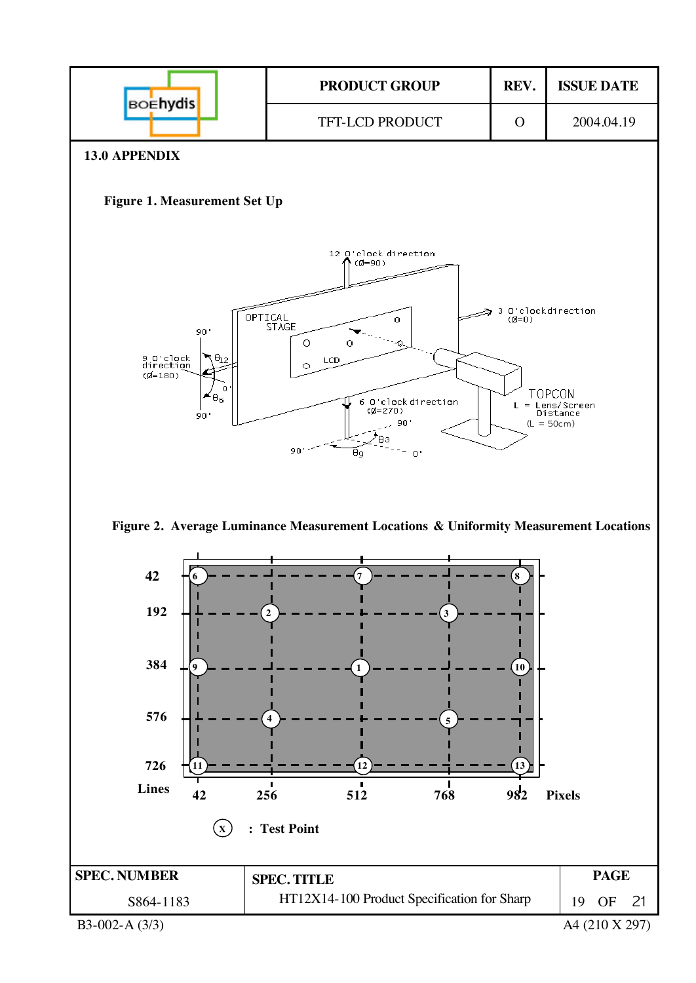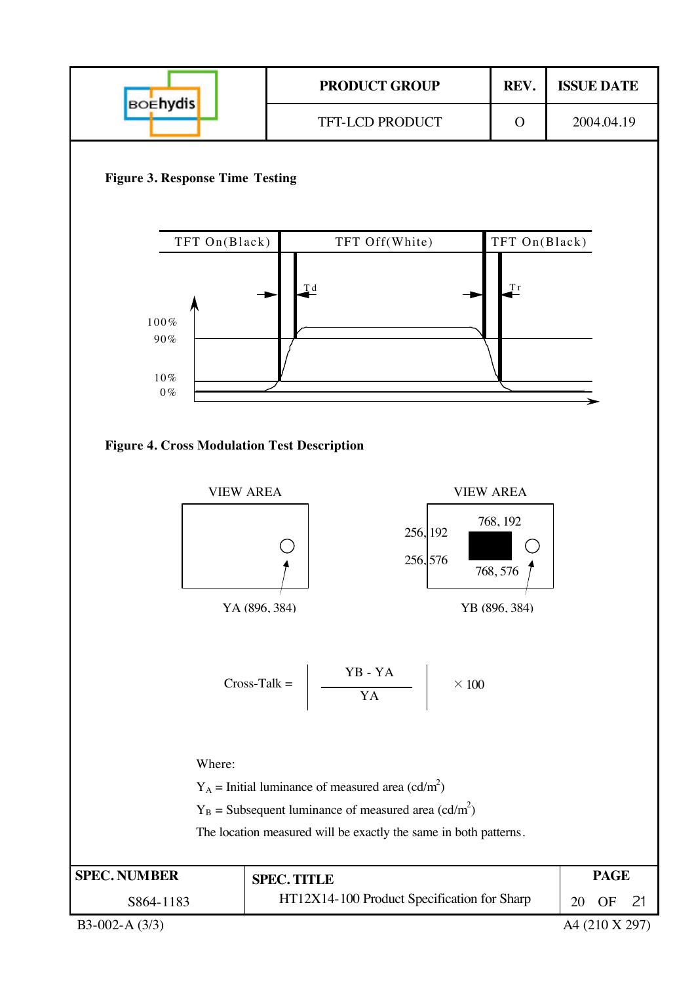